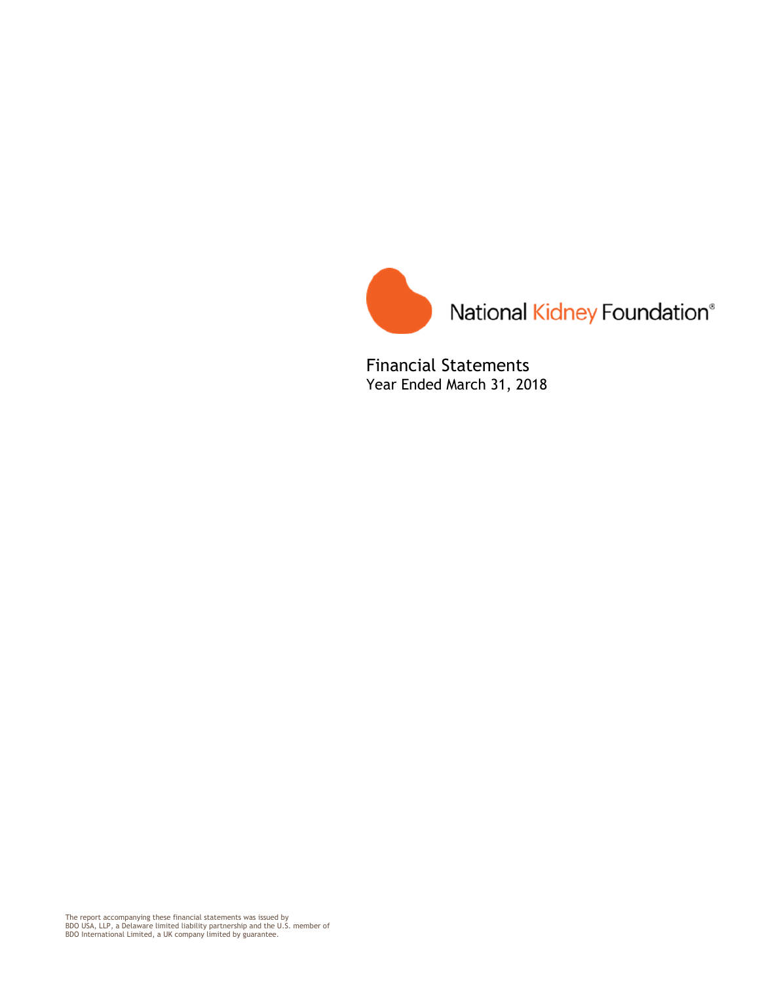

Financial Statements Year Ended March 31, 2018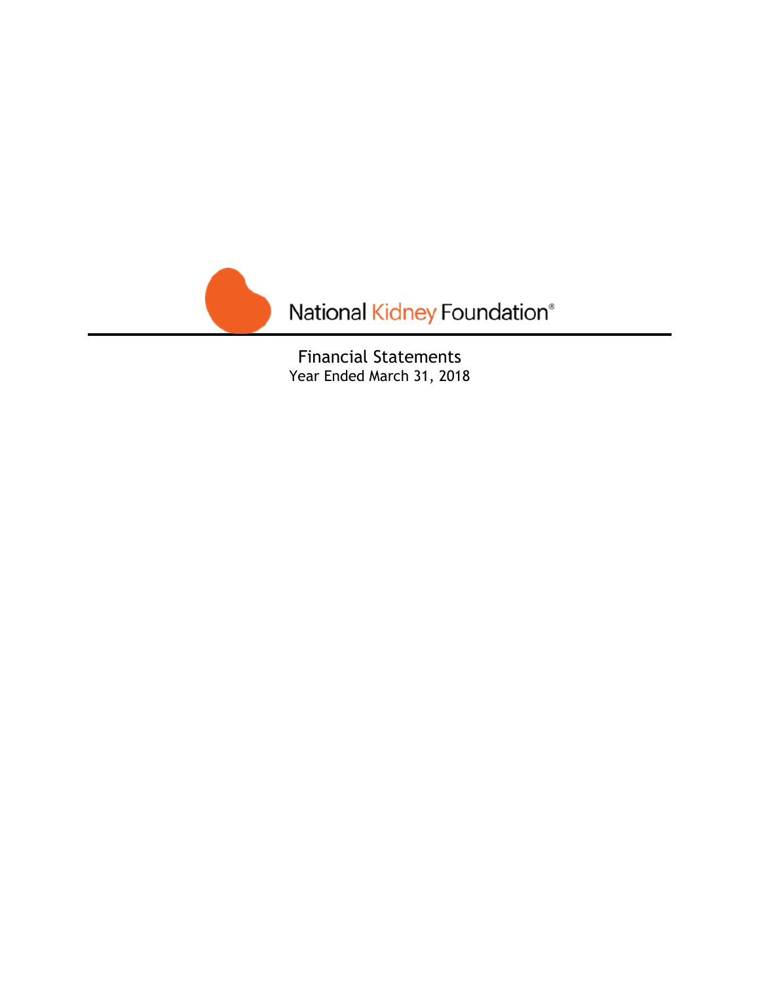

Financial Statements Year Ended March 31, 2018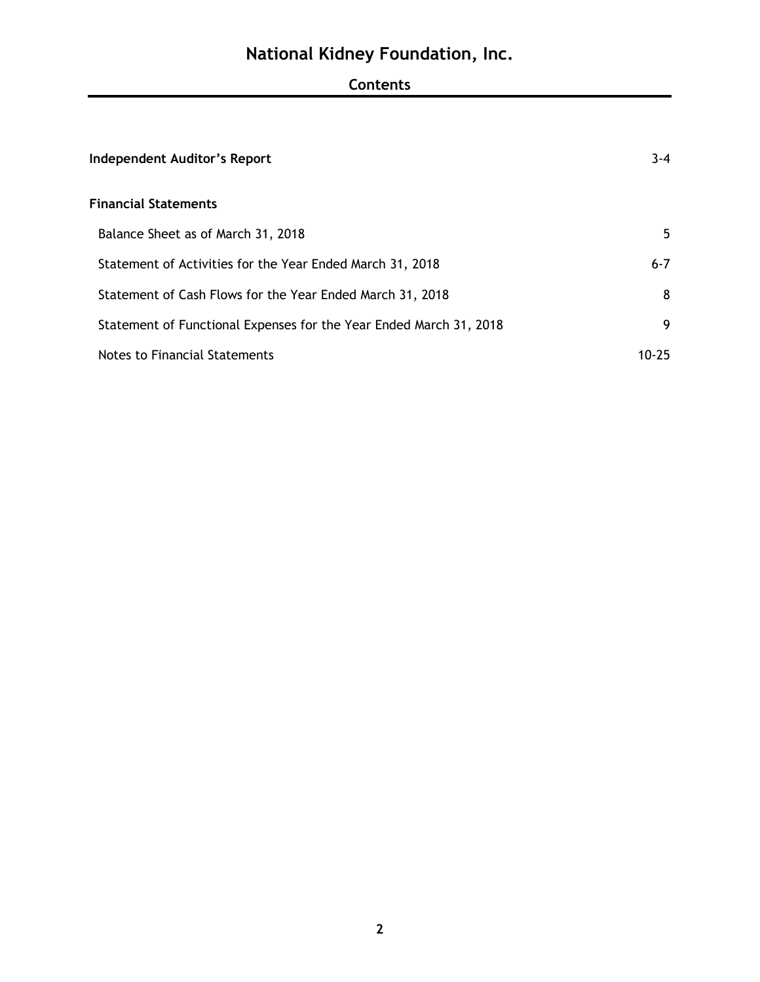## **Contents**

| <b>Independent Auditor's Report</b>                                | $3 - 4$ |
|--------------------------------------------------------------------|---------|
| <b>Financial Statements</b>                                        |         |
| Balance Sheet as of March 31, 2018                                 | 5       |
| Statement of Activities for the Year Ended March 31, 2018          | $6 - 7$ |
| Statement of Cash Flows for the Year Ended March 31, 2018          | 8       |
| Statement of Functional Expenses for the Year Ended March 31, 2018 | 9       |
| Notes to Financial Statements                                      | 10-25   |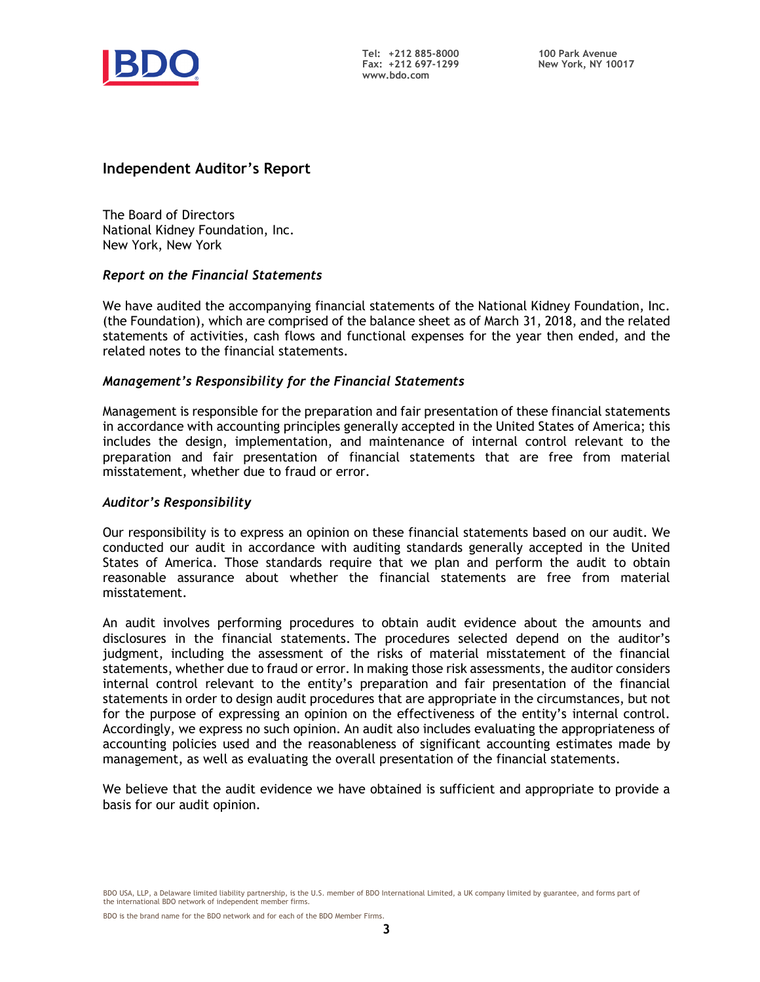

### **Independent Auditor's Report**

The Board of Directors National Kidney Foundation, Inc. New York, New York

#### *Report on the Financial Statements*

We have audited the accompanying financial statements of the National Kidney Foundation, Inc. (the Foundation), which are comprised of the balance sheet as of March 31, 2018, and the related statements of activities, cash flows and functional expenses for the year then ended, and the related notes to the financial statements.

#### *Management's Responsibility for the Financial Statements*

Management is responsible for the preparation and fair presentation of these financial statements in accordance with accounting principles generally accepted in the United States of America; this includes the design, implementation, and maintenance of internal control relevant to the preparation and fair presentation of financial statements that are free from material misstatement, whether due to fraud or error.

#### *Auditor's Responsibility*

Our responsibility is to express an opinion on these financial statements based on our audit. We conducted our audit in accordance with auditing standards generally accepted in the United States of America. Those standards require that we plan and perform the audit to obtain reasonable assurance about whether the financial statements are free from material misstatement.

An audit involves performing procedures to obtain audit evidence about the amounts and disclosures in the financial statements. The procedures selected depend on the auditor's judgment, including the assessment of the risks of material misstatement of the financial statements, whether due to fraud or error. In making those risk assessments, the auditor considers internal control relevant to the entity's preparation and fair presentation of the financial statements in order to design audit procedures that are appropriate in the circumstances, but not for the purpose of expressing an opinion on the effectiveness of the entity's internal control. Accordingly, we express no such opinion. An audit also includes evaluating the appropriateness of accounting policies used and the reasonableness of significant accounting estimates made by management, as well as evaluating the overall presentation of the financial statements.

We believe that the audit evidence we have obtained is sufficient and appropriate to provide a basis for our audit opinion.

BDO USA, LLP, a Delaware limited liability partnership, is the U.S. member of BDO International Limited, a UK company limited by guarantee, and forms part of the international BDO network of independent member firms.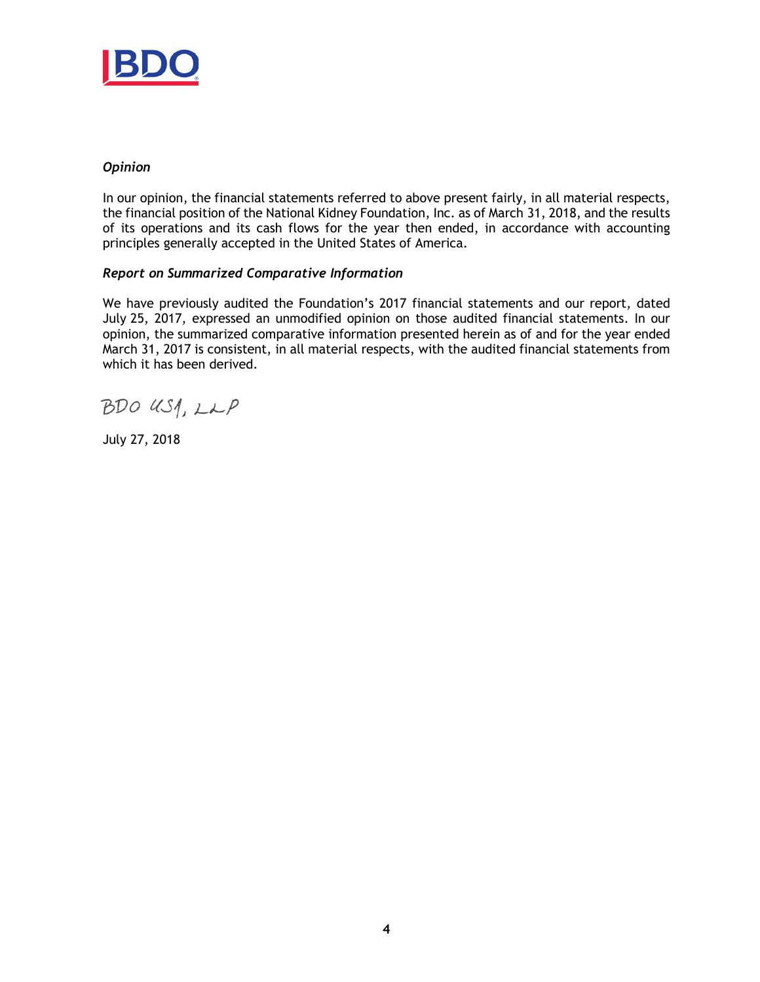

#### *Opinion*

In our opinion, the financial statements referred to above present fairly, in all material respects, the financial position of the National Kidney Foundation, Inc. as of March 31, 2018, and the results of its operations and its cash flows for the year then ended, in accordance with accounting principles generally accepted in the United States of America.

#### *Report on Summarized Comparative Information*

We have previously audited the Foundation's 2017 financial statements and our report, dated July 25, 2017, expressed an unmodified opinion on those audited financial statements. In our opinion, the summarized comparative information presented herein as of and for the year ended March 31, 2017 is consistent, in all material respects, with the audited financial statements from which it has been derived.

BDO US1, LLP

July 27, 2018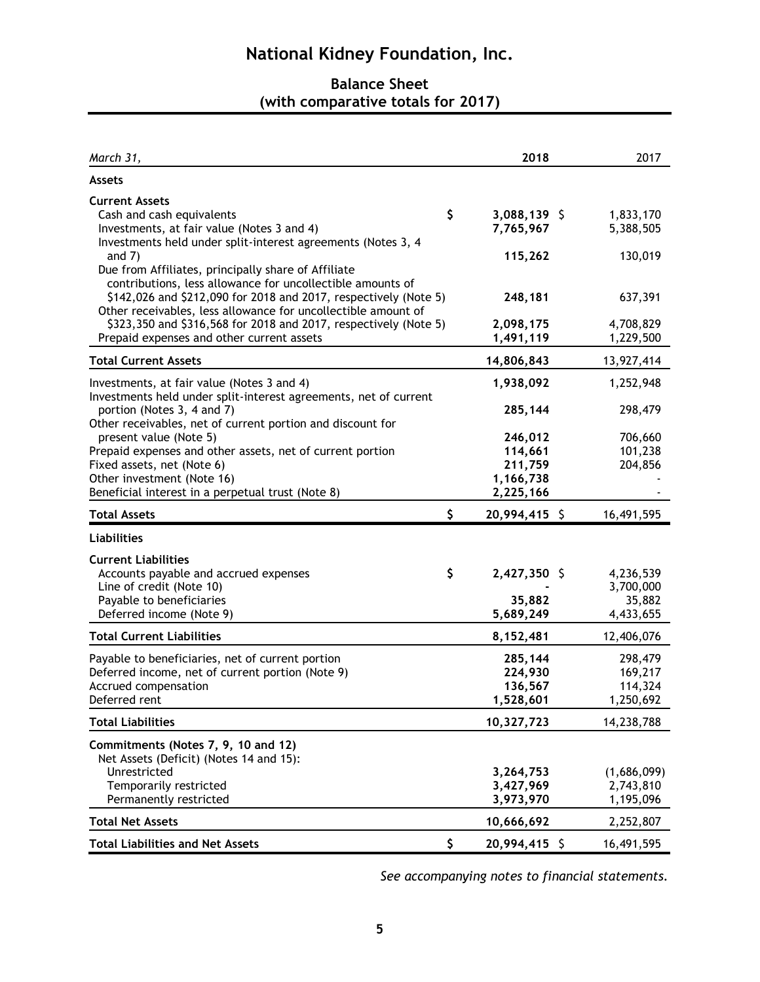## **Balance Sheet (with comparative totals for 2017)**

| March 31,                                                                                                                                                                                       | 2018                            | 2017                   |
|-------------------------------------------------------------------------------------------------------------------------------------------------------------------------------------------------|---------------------------------|------------------------|
| <b>Assets</b>                                                                                                                                                                                   |                                 |                        |
| <b>Current Assets</b><br>Cash and cash equivalents<br>Investments, at fair value (Notes 3 and 4)<br>Investments held under split-interest agreements (Notes 3, 4                                | \$<br>3,088,139 \$<br>7,765,967 | 1,833,170<br>5,388,505 |
| and $7)$<br>Due from Affiliates, principally share of Affiliate                                                                                                                                 | 115,262                         | 130,019                |
| contributions, less allowance for uncollectible amounts of<br>\$142,026 and \$212,090 for 2018 and 2017, respectively (Note 5)<br>Other receivables, less allowance for uncollectible amount of | 248,181                         | 637,391                |
| \$323,350 and \$316,568 for 2018 and 2017, respectively (Note 5)<br>Prepaid expenses and other current assets                                                                                   | 2,098,175<br>1,491,119          | 4,708,829<br>1,229,500 |
| <b>Total Current Assets</b>                                                                                                                                                                     | 14,806,843                      | 13,927,414             |
| Investments, at fair value (Notes 3 and 4)<br>Investments held under split-interest agreements, net of current                                                                                  | 1,938,092                       | 1,252,948              |
| portion (Notes 3, 4 and 7)<br>Other receivables, net of current portion and discount for                                                                                                        | 285,144                         | 298,479                |
| present value (Note 5)                                                                                                                                                                          | 246,012                         | 706,660                |
| Prepaid expenses and other assets, net of current portion                                                                                                                                       | 114,661                         | 101,238                |
| Fixed assets, net (Note 6)                                                                                                                                                                      | 211,759                         | 204,856                |
| Other investment (Note 16)                                                                                                                                                                      | 1,166,738                       |                        |
| Beneficial interest in a perpetual trust (Note 8)                                                                                                                                               | 2,225,166                       |                        |
| <b>Total Assets</b>                                                                                                                                                                             | \$<br>20,994,415 \$             | 16,491,595             |
| <b>Liabilities</b>                                                                                                                                                                              |                                 |                        |
| <b>Current Liabilities</b>                                                                                                                                                                      |                                 |                        |
| Accounts payable and accrued expenses                                                                                                                                                           | \$<br>2,427,350 \$              | 4,236,539              |
| Line of credit (Note 10)                                                                                                                                                                        |                                 | 3,700,000              |
| Payable to beneficiaries                                                                                                                                                                        | 35,882                          | 35,882                 |
| Deferred income (Note 9)                                                                                                                                                                        | 5,689,249                       | 4,433,655              |
| <b>Total Current Liabilities</b>                                                                                                                                                                | 8,152,481                       | 12,406,076             |
| Payable to beneficiaries, net of current portion                                                                                                                                                | 285,144                         | 298,479                |
| Deferred income, net of current portion (Note 9)                                                                                                                                                | 224,930                         | 169,217                |
| Accrued compensation                                                                                                                                                                            | 136,567                         | 114,324                |
| Deferred rent                                                                                                                                                                                   | 1,528,601                       | 1,250,692              |
| <b>Total Liabilities</b>                                                                                                                                                                        | 10,327,723                      | 14,238,788             |
| Commitments (Notes 7, 9, 10 and 12)                                                                                                                                                             |                                 |                        |
| Net Assets (Deficit) (Notes 14 and 15):                                                                                                                                                         |                                 |                        |
| Unrestricted                                                                                                                                                                                    | 3,264,753                       | (1,686,099)            |
| Temporarily restricted                                                                                                                                                                          | 3,427,969                       | 2,743,810              |
| Permanently restricted                                                                                                                                                                          | 3,973,970                       | 1,195,096              |
| <b>Total Net Assets</b>                                                                                                                                                                         | 10,666,692                      | 2,252,807              |
| <b>Total Liabilities and Net Assets</b>                                                                                                                                                         | \$<br>20,994,415 \$             | 16,491,595             |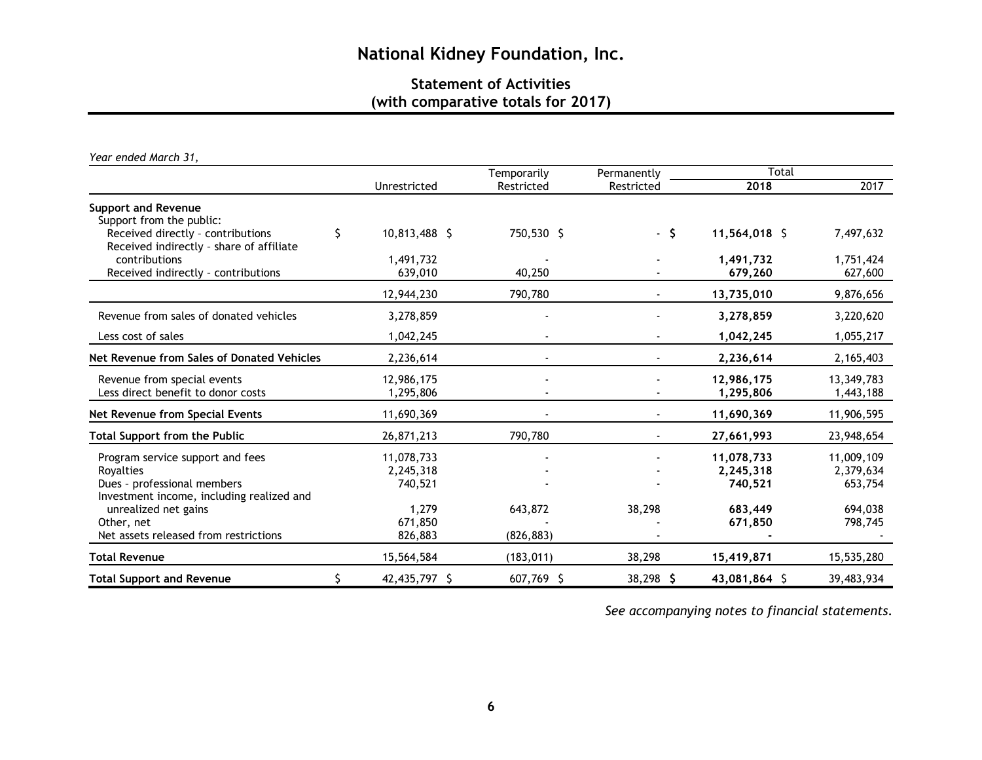## **Statement of Activities (with comparative totals for 2017)**

*Year ended March 31,*

|                                                                               |    |               | Temporarily | Permanently | Total         |            |  |  |
|-------------------------------------------------------------------------------|----|---------------|-------------|-------------|---------------|------------|--|--|
|                                                                               |    | Unrestricted  | Restricted  | Restricted  | 2018          | 2017       |  |  |
| <b>Support and Revenue</b>                                                    |    |               |             |             |               |            |  |  |
| Support from the public:                                                      |    |               |             |             |               |            |  |  |
| Received directly - contributions<br>Received indirectly - share of affiliate | Ś. | 10,813,488 \$ | 750,530 \$  | - \$        | 11,564,018 \$ | 7,497,632  |  |  |
| contributions                                                                 |    | 1,491,732     |             |             | 1,491,732     | 1,751,424  |  |  |
| Received indirectly - contributions                                           |    | 639,010       | 40,250      |             | 679,260       | 627,600    |  |  |
|                                                                               |    | 12,944,230    | 790,780     |             | 13,735,010    | 9,876,656  |  |  |
| Revenue from sales of donated vehicles                                        |    | 3,278,859     |             |             | 3,278,859     | 3,220,620  |  |  |
| Less cost of sales                                                            |    | 1,042,245     |             |             | 1,042,245     | 1,055,217  |  |  |
| Net Revenue from Sales of Donated Vehicles                                    |    | 2,236,614     |             |             | 2,236,614     | 2,165,403  |  |  |
| Revenue from special events                                                   |    | 12,986,175    |             |             | 12,986,175    | 13,349,783 |  |  |
| Less direct benefit to donor costs                                            |    | 1,295,806     |             |             | 1,295,806     | 1,443,188  |  |  |
| Net Revenue from Special Events                                               |    | 11,690,369    |             |             | 11,690,369    | 11,906,595 |  |  |
| <b>Total Support from the Public</b>                                          |    | 26,871,213    | 790,780     |             | 27,661,993    | 23,948,654 |  |  |
| Program service support and fees                                              |    | 11,078,733    |             |             | 11,078,733    | 11,009,109 |  |  |
| Rovalties                                                                     |    | 2,245,318     |             |             | 2,245,318     | 2,379,634  |  |  |
| Dues - professional members                                                   |    | 740,521       |             |             | 740,521       | 653,754    |  |  |
| Investment income, including realized and                                     |    |               |             |             |               |            |  |  |
| unrealized net gains                                                          |    | 1,279         | 643,872     | 38,298      | 683,449       | 694,038    |  |  |
| Other, net                                                                    |    | 671,850       |             |             | 671,850       | 798,745    |  |  |
| Net assets released from restrictions                                         |    | 826,883       | (826, 883)  |             |               |            |  |  |
| <b>Total Revenue</b>                                                          |    | 15,564,584    | (183, 011)  | 38,298      | 15,419,871    | 15,535,280 |  |  |
| <b>Total Support and Revenue</b>                                              | \$ | 42,435,797 \$ | 607,769 \$  | $38,298$ \$ | 43,081,864 \$ | 39,483,934 |  |  |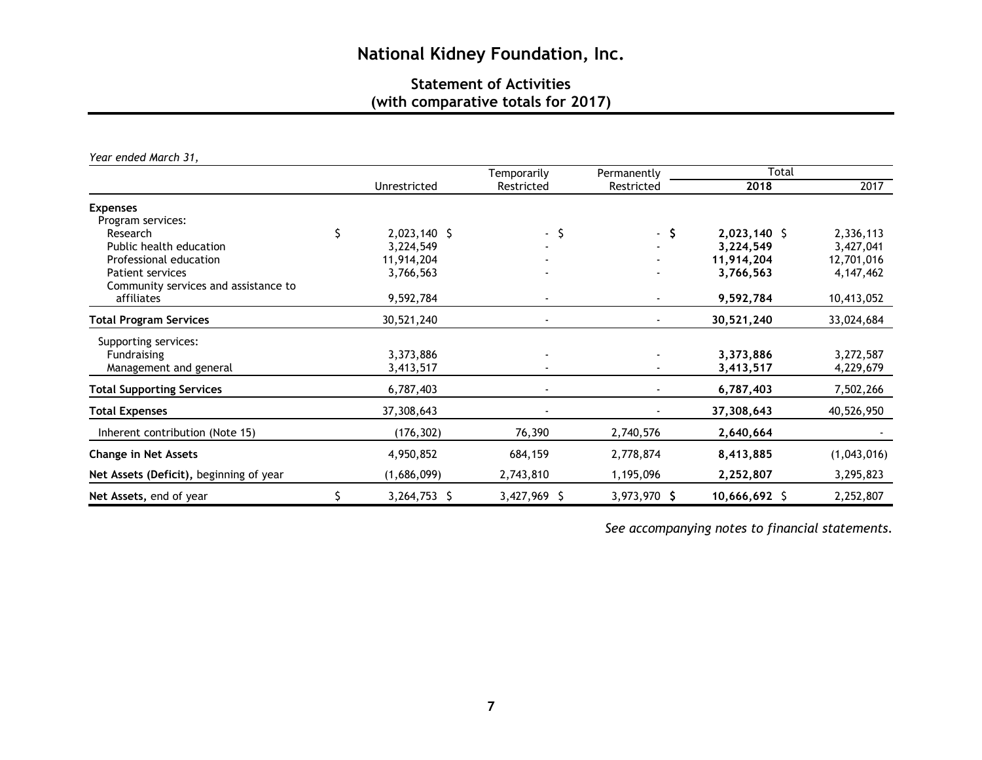## **Statement of Activities (with comparative totals for 2017)**

*Year ended March 31,* 

|                                         |    |              | Temporarily  | Permanently  | Total          |             |  |
|-----------------------------------------|----|--------------|--------------|--------------|----------------|-------------|--|
|                                         |    | Unrestricted | Restricted   | Restricted   | 2018           | 2017        |  |
| <b>Expenses</b>                         |    |              |              |              |                |             |  |
| Program services:                       |    |              |              |              |                |             |  |
| Research                                | \$ | 2,023,140 \$ | $-5$         | - \$         | $2,023,140$ \$ | 2,336,113   |  |
| Public health education                 |    | 3,224,549    |              |              | 3,224,549      | 3,427,041   |  |
| Professional education                  |    | 11,914,204   |              |              | 11,914,204     | 12,701,016  |  |
| Patient services                        |    | 3,766,563    |              |              | 3,766,563      | 4, 147, 462 |  |
| Community services and assistance to    |    |              |              |              |                |             |  |
| affiliates                              |    | 9,592,784    |              |              | 9,592,784      | 10,413,052  |  |
| <b>Total Program Services</b>           |    | 30,521,240   |              |              | 30,521,240     | 33,024,684  |  |
| Supporting services:                    |    |              |              |              |                |             |  |
| Fundraising                             |    | 3,373,886    |              |              | 3,373,886      | 3,272,587   |  |
| Management and general                  |    | 3,413,517    |              |              | 3,413,517      | 4,229,679   |  |
| <b>Total Supporting Services</b>        |    | 6,787,403    |              |              | 6,787,403      | 7,502,266   |  |
| <b>Total Expenses</b>                   |    | 37,308,643   |              |              | 37,308,643     | 40,526,950  |  |
| Inherent contribution (Note 15)         |    | (176, 302)   | 76,390       | 2,740,576    | 2,640,664      |             |  |
| <b>Change in Net Assets</b>             |    | 4,950,852    | 684,159      | 2,778,874    | 8,413,885      | (1,043,016) |  |
| Net Assets (Deficit), beginning of year |    | (1,686,099)  | 2,743,810    | 1,195,096    | 2,252,807      | 3,295,823   |  |
| Net Assets, end of year                 |    | 3,264,753 \$ | 3,427,969 \$ | 3,973,970 \$ | 10,666,692 \$  | 2,252,807   |  |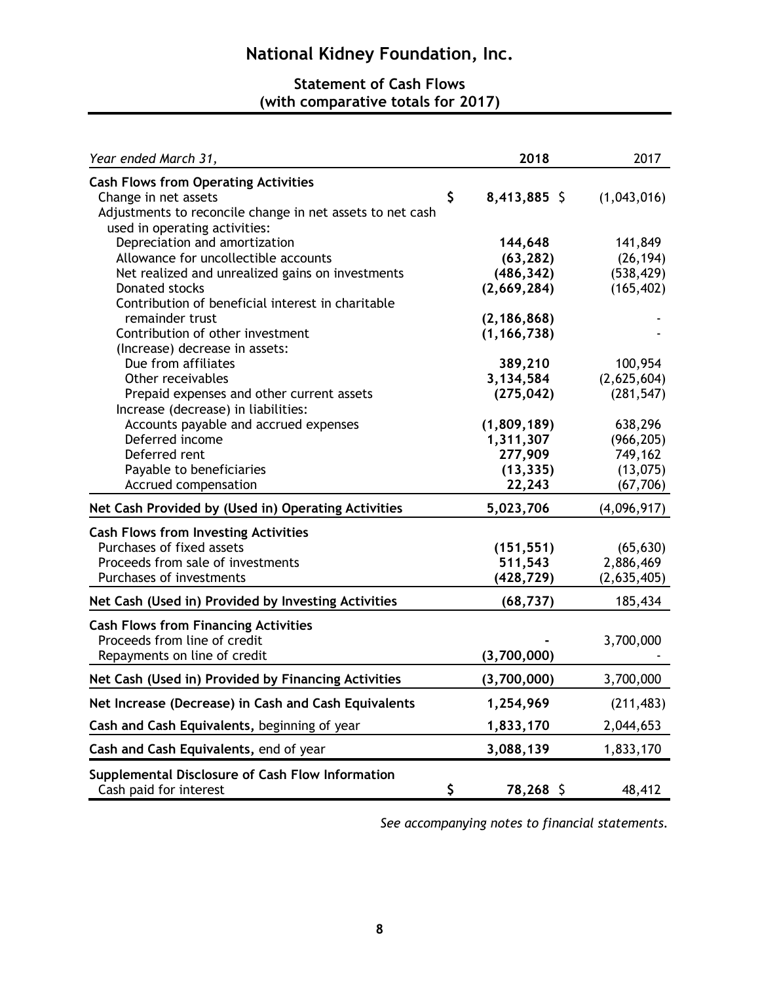## **Statement of Cash Flows (with comparative totals for 2017)**

| Year ended March 31,                                                                       | 2018                    | 2017                      |
|--------------------------------------------------------------------------------------------|-------------------------|---------------------------|
| <b>Cash Flows from Operating Activities</b><br>Change in net assets                        | \$<br>8,413,885 \$      | (1,043,016)               |
| Adjustments to reconcile change in net assets to net cash<br>used in operating activities: |                         |                           |
| Depreciation and amortization                                                              | 144,648                 | 141,849                   |
| Allowance for uncollectible accounts                                                       | (63, 282)               | (26, 194)                 |
| Net realized and unrealized gains on investments                                           | (486, 342)              | (538, 429)                |
| <b>Donated stocks</b>                                                                      | (2,669,284)             | (165, 402)                |
| Contribution of beneficial interest in charitable                                          |                         |                           |
| remainder trust                                                                            | (2, 186, 868)           |                           |
| Contribution of other investment                                                           | (1, 166, 738)           |                           |
| (Increase) decrease in assets:                                                             |                         |                           |
| Due from affiliates<br>Other receivables                                                   | 389,210                 | 100,954                   |
| Prepaid expenses and other current assets                                                  | 3,134,584<br>(275, 042) | (2,625,604)<br>(281, 547) |
| Increase (decrease) in liabilities:                                                        |                         |                           |
| Accounts payable and accrued expenses                                                      | (1,809,189)             | 638,296                   |
| Deferred income                                                                            | 1,311,307               | (966, 205)                |
| Deferred rent                                                                              | 277,909                 | 749,162                   |
| Payable to beneficiaries                                                                   | (13, 335)               | (13,075)                  |
| Accrued compensation                                                                       | 22,243                  | (67, 706)                 |
| Net Cash Provided by (Used in) Operating Activities                                        | 5,023,706               | (4,096,917)               |
| <b>Cash Flows from Investing Activities</b>                                                |                         |                           |
| Purchases of fixed assets                                                                  | (151, 551)              | (65, 630)                 |
| Proceeds from sale of investments                                                          | 511,543                 | 2,886,469                 |
| Purchases of investments                                                                   | (428, 729)              | (2,635,405)               |
| Net Cash (Used in) Provided by Investing Activities                                        | (68, 737)               | 185,434                   |
| <b>Cash Flows from Financing Activities</b>                                                |                         |                           |
| Proceeds from line of credit                                                               |                         | 3,700,000                 |
| Repayments on line of credit                                                               | (3,700,000)             |                           |
| Net Cash (Used in) Provided by Financing Activities                                        | (3,700,000)             | 3,700,000                 |
|                                                                                            |                         |                           |
| Net Increase (Decrease) in Cash and Cash Equivalents                                       | 1,254,969               | (211, 483)                |
| Cash and Cash Equivalents, beginning of year                                               | 1,833,170               | 2,044,653                 |
| Cash and Cash Equivalents, end of year                                                     | 3,088,139               | 1,833,170                 |
| Supplemental Disclosure of Cash Flow Information<br>Cash paid for interest                 | \$<br>78,268 \$         | 48,412                    |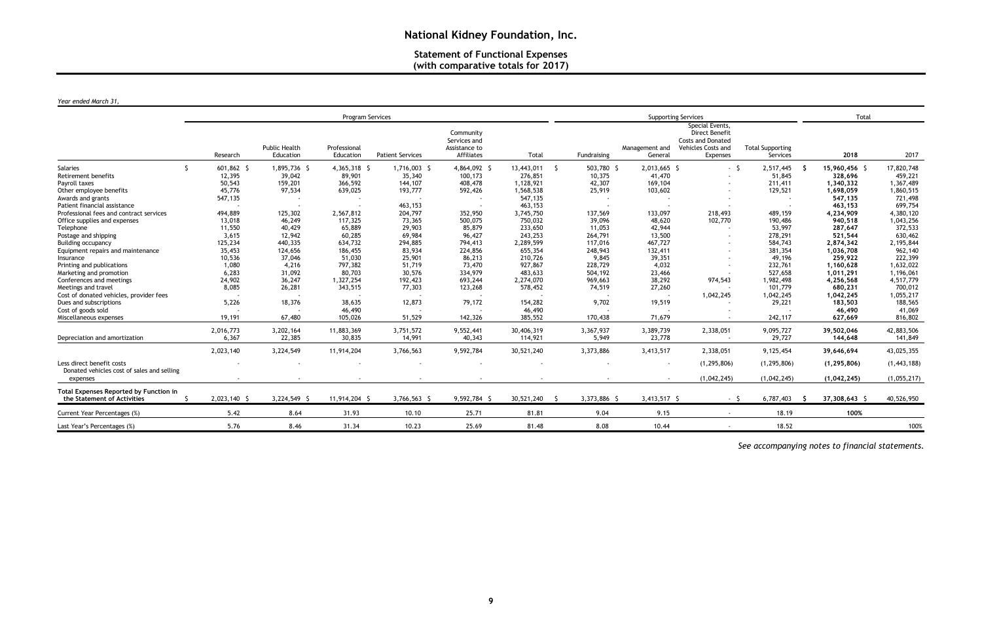## **Statement of Functional Expenses (with comparative totals for 2017)**

#### *Year ended March 31,*

|                                                                              | Program Services |                                   |                           |                         |                                                          |                  |              | <b>Supporting Services</b> |                                                                                                 | Total                               |               |               |
|------------------------------------------------------------------------------|------------------|-----------------------------------|---------------------------|-------------------------|----------------------------------------------------------|------------------|--------------|----------------------------|-------------------------------------------------------------------------------------------------|-------------------------------------|---------------|---------------|
|                                                                              | Research         | <b>Public Health</b><br>Education | Professional<br>Education | <b>Patient Services</b> | Community<br>Services and<br>Assistance to<br>Affiliates | Total            | Fundraising  | Management and<br>General  | Special Events,<br>Direct Benefit<br><b>Costs and Donated</b><br>Vehicles Costs and<br>Expenses | <b>Total Supporting</b><br>Services | 2018          | 2017          |
| Salaries<br>-Ŝ                                                               | $601,862$ \$     | 1,895,736 \$                      | 4,365,318 \$              | 1,716,003 \$            | 4,864,092 \$                                             | 13,443,011<br>-S | 503,780 \$   | 2,013,665 \$               | $-5$                                                                                            | 2,517,445                           | 15,960,456 \$ | 17,820,748    |
| Retirement benefits                                                          | 12,395           | 39,042                            | 89,901                    | 35,340                  | 100,173                                                  | 276,851          | 10,375       | 41,470                     |                                                                                                 | 51,845                              | 328,696       | 459,221       |
| Payroll taxes                                                                | 50,543           | 159,201                           | 366,592                   | 144,107                 | 408,478                                                  | 1,128,921        | 42,307       | 169,104                    |                                                                                                 | 211,411                             | 1,340,332     | 1,367,489     |
| Other employee benefits                                                      | 45,776           | 97,534                            | 639,025                   | 193,777                 | 592,426                                                  | 1,568,538        | 25,919       | 103,602                    |                                                                                                 | 129,521                             | 1,698,059     | 1,860,515     |
| Awards and grants                                                            | 547,135          |                                   |                           |                         |                                                          | 547,135          |              |                            |                                                                                                 |                                     | 547,135       | 721,498       |
| Patient financial assistance                                                 |                  |                                   |                           | 463,153                 |                                                          | 463,153          |              |                            |                                                                                                 |                                     | 463,153       | 699,754       |
| Professional fees and contract services                                      | 494,889          | 125,302                           | 2,567,812                 | 204,797                 | 352,950                                                  | 3,745,750        | 137,569      | 133,097                    | 218,493                                                                                         | 489,159                             | 4,234,909     | 4,380,120     |
| Office supplies and expenses                                                 | 13,018           | 46,249                            | 117,325                   | 73,365                  | 500,075                                                  | 750,032          | 39,096       | 48,620                     | 102,770                                                                                         | 190,486                             | 940,518       | 1,043,256     |
| Telephone                                                                    | 11,550           | 40,429                            | 65,889                    | 29,903                  | 85,879                                                   | 233,650          | 11,053       | 42,944                     |                                                                                                 | 53,997                              | 287,647       | 372,533       |
| Postage and shipping                                                         | 3,615            | 12,942                            | 60,285                    | 69,984                  | 96,427                                                   | 243,253          | 264,791      | 13,500                     |                                                                                                 | 278,291                             | 521,544       | 630,462       |
| <b>Building occupancy</b>                                                    | 125,234          | 440,335                           | 634,732                   | 294,885                 | 794,413                                                  | 2,289,599        | 117,016      | 467,727                    |                                                                                                 | 584,743                             | 2,874,342     | 2,195,844     |
| Equipment repairs and maintenance                                            | 35,453           | 124,656                           | 186,455                   | 83,934                  | 224,856                                                  | 655,354          | 248,943      | 132,411                    |                                                                                                 | 381,354                             | 1,036,708     | 962,140       |
| Insurance                                                                    | 10,536           | 37,046                            | 51,030                    | 25,901                  | 86,213                                                   | 210,726          | 9.845        | 39,351                     |                                                                                                 | 49,196                              | 259,922       | 222,399       |
| Printing and publications                                                    | 1,080            | 4,216                             | 797,382                   | 51,719                  | 73,470                                                   | 927,867          | 228,729      | 4,032                      |                                                                                                 | 232,761                             | 1,160,628     | 1,632,022     |
| Marketing and promotion                                                      | 6,283            | 31,092                            | 80,703                    | 30,576                  | 334,979                                                  | 483,633          | 504,192      | 23,466                     |                                                                                                 | 527,658                             | 1,011,291     | 1,196,061     |
| Conferences and meetings                                                     | 24,902           | 36,247                            | 1,327,254                 | 192,423                 | 693,244                                                  | 2,274,070        | 969,663      | 38,292                     | 974,543                                                                                         | 1,982,498                           | 4,256,568     | 4,517,779     |
| Meetings and travel                                                          | 8,085            | 26,281                            | 343,515                   | 77,303                  | 123,268                                                  | 578,452          | 74,519       | 27,260                     |                                                                                                 | 101,779                             | 680,231       | 700,012       |
| Cost of donated vehicles, provider fees                                      |                  |                                   |                           |                         |                                                          |                  |              |                            | 1,042,245                                                                                       | 1,042,245                           | 1,042,245     | 1,055,217     |
| Dues and subscriptions                                                       | 5,226            | 18,376                            | 38,635                    | 12,873                  | 79,172                                                   | 154,282          | 9,702        | 19,519                     |                                                                                                 | 29,221                              | 183,503       | 188,565       |
| Cost of goods sold                                                           |                  |                                   | 46,490                    |                         |                                                          | 46,490           |              |                            |                                                                                                 |                                     | 46,490        | 41,069        |
| Miscellaneous expenses                                                       | 19,191           | 67,480                            | 105,026                   | 51,529                  | 142,326                                                  | 385,552          | 170,438      | 71,679                     |                                                                                                 | 242,117                             | 627,669       | 816,802       |
|                                                                              |                  |                                   |                           |                         |                                                          |                  |              |                            |                                                                                                 |                                     |               |               |
|                                                                              | 2,016,773        | 3,202,164                         | 11,883,369                | 3,751,572               | 9,552,441                                                | 30,406,319       | 3,367,937    | 3,389,739                  | 2,338,051                                                                                       | 9,095,727                           | 39,502,046    | 42,883,506    |
| Depreciation and amortization                                                | 6,367            | 22,385                            | 30,835                    | 14,991                  | 40,343                                                   | 114,921          | 5,949        | 23,778                     |                                                                                                 | 29,727                              | 144,648       | 141,849       |
|                                                                              | 2,023,140        | 3,224,549                         | 11,914,204                | 3,766,563               | 9,592,784                                                | 30,521,240       | 3,373,886    | 3,413,517                  | 2,338,051                                                                                       | 9,125,454                           | 39,646,694    | 43,025,355    |
| Less direct benefit costs<br>Donated vehicles cost of sales and selling      |                  |                                   |                           |                         |                                                          |                  |              |                            | (1, 295, 806)                                                                                   | (1, 295, 806)                       | (1, 295, 806) | (1, 443, 188) |
| expenses                                                                     |                  |                                   |                           |                         |                                                          |                  |              |                            | (1,042,245)                                                                                     | (1,042,245)                         | (1,042,245)   | (1,055,217)   |
| <b>Total Expenses Reported by Function in</b><br>the Statement of Activities | 2,023,140 \$     | 3,224,549 \$                      | 11,914,204 \$             | 3,766,563 \$            | 9,592,784 \$                                             | 30,521,240       | 3,373,886 \$ | 3,413,517 \$               | $-5$                                                                                            | 6,787,403                           | 37,308,643 \$ | 40,526,950    |
| Current Year Percentages (%)                                                 | 5.42             | 8.64                              | 31.93                     | 10.10                   | 25.71                                                    | 81.81            | 9.04         | 9.15                       |                                                                                                 | 18.19                               | 100%          |               |
| Last Year's Percentages (%)                                                  | 5.76             | 8.46                              | 31.34                     | 10.23                   | 25.69                                                    | 81.48            | 8.08         | 10.44                      |                                                                                                 | 18.52                               |               | 100%          |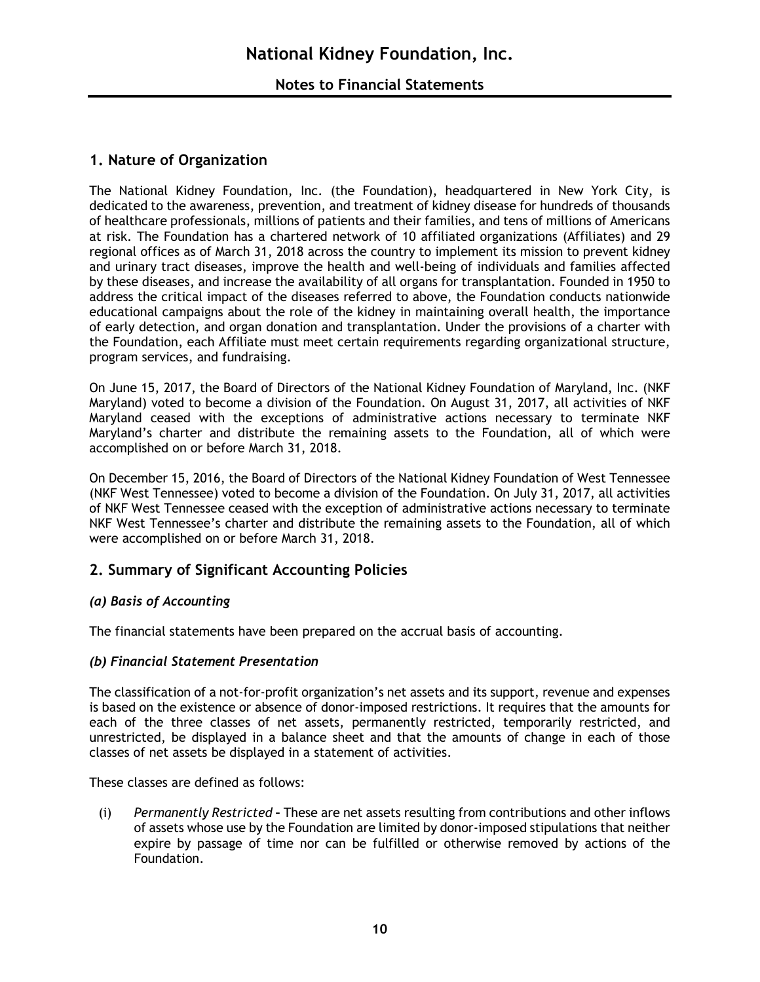### **1. Nature of Organization**

The National Kidney Foundation, Inc. (the Foundation), headquartered in New York City, is dedicated to the awareness, prevention, and treatment of kidney disease for hundreds of thousands of healthcare professionals, millions of patients and their families, and tens of millions of Americans at risk. The Foundation has a chartered network of 10 affiliated organizations (Affiliates) and 29 regional offices as of March 31, 2018 across the country to implement its mission to prevent kidney and urinary tract diseases, improve the health and well-being of individuals and families affected by these diseases, and increase the availability of all organs for transplantation. Founded in 1950 to address the critical impact of the diseases referred to above, the Foundation conducts nationwide educational campaigns about the role of the kidney in maintaining overall health, the importance of early detection, and organ donation and transplantation. Under the provisions of a charter with the Foundation, each Affiliate must meet certain requirements regarding organizational structure, program services, and fundraising.

On June 15, 2017, the Board of Directors of the National Kidney Foundation of Maryland, Inc. (NKF Maryland) voted to become a division of the Foundation. On August 31, 2017, all activities of NKF Maryland ceased with the exceptions of administrative actions necessary to terminate NKF Maryland's charter and distribute the remaining assets to the Foundation, all of which were accomplished on or before March 31, 2018.

On December 15, 2016, the Board of Directors of the National Kidney Foundation of West Tennessee (NKF West Tennessee) voted to become a division of the Foundation. On July 31, 2017, all activities of NKF West Tennessee ceased with the exception of administrative actions necessary to terminate NKF West Tennessee's charter and distribute the remaining assets to the Foundation, all of which were accomplished on or before March 31, 2018.

## **2. Summary of Significant Accounting Policies**

#### *(a) Basis of Accounting*

The financial statements have been prepared on the accrual basis of accounting.

#### *(b) Financial Statement Presentation*

The classification of a not-for-profit organization's net assets and its support, revenue and expenses is based on the existence or absence of donor-imposed restrictions. It requires that the amounts for each of the three classes of net assets, permanently restricted, temporarily restricted, and unrestricted, be displayed in a balance sheet and that the amounts of change in each of those classes of net assets be displayed in a statement of activities.

These classes are defined as follows:

(i) *Permanently Restricted* **–** These are net assets resulting from contributions and other inflows of assets whose use by the Foundation are limited by donor-imposed stipulations that neither expire by passage of time nor can be fulfilled or otherwise removed by actions of the Foundation.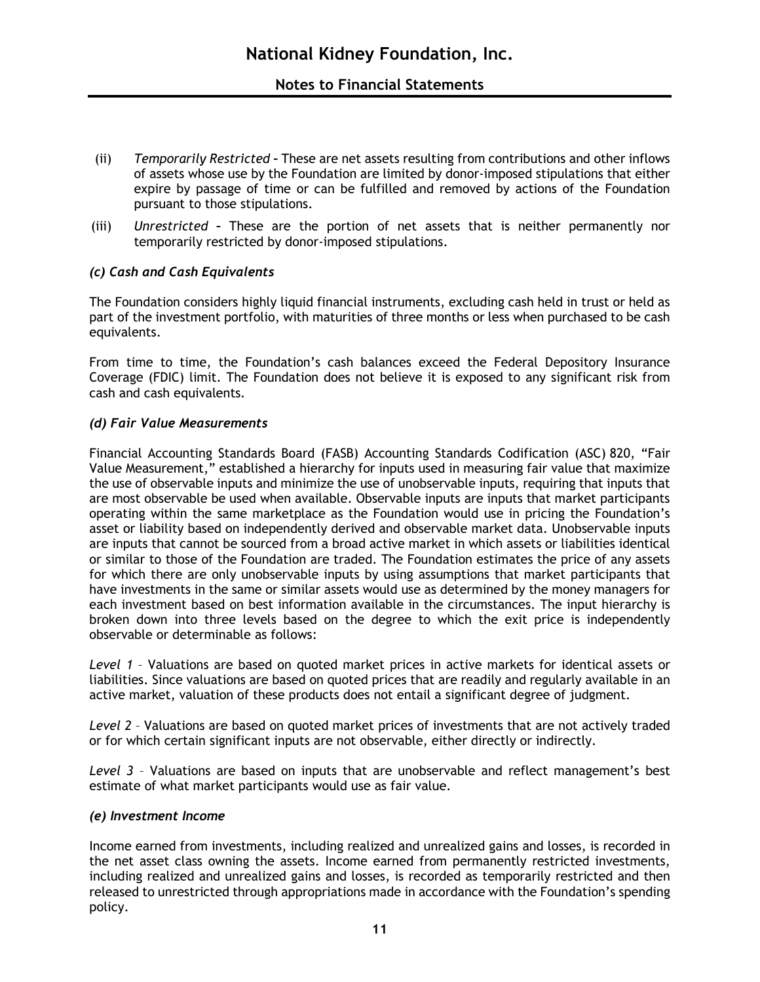- (ii) *Temporarily Restricted* **–** These are net assets resulting from contributions and other inflows of assets whose use by the Foundation are limited by donor-imposed stipulations that either expire by passage of time or can be fulfilled and removed by actions of the Foundation pursuant to those stipulations.
- (iii) *Unrestricted* **–** These are the portion of net assets that is neither permanently nor temporarily restricted by donor-imposed stipulations.

#### *(c) Cash and Cash Equivalents*

The Foundation considers highly liquid financial instruments, excluding cash held in trust or held as part of the investment portfolio, with maturities of three months or less when purchased to be cash equivalents.

From time to time, the Foundation's cash balances exceed the Federal Depository Insurance Coverage (FDIC) limit. The Foundation does not believe it is exposed to any significant risk from cash and cash equivalents.

#### *(d) Fair Value Measurements*

Financial Accounting Standards Board (FASB) Accounting Standards Codification (ASC) 820, "Fair Value Measurement," established a hierarchy for inputs used in measuring fair value that maximize the use of observable inputs and minimize the use of unobservable inputs, requiring that inputs that are most observable be used when available. Observable inputs are inputs that market participants operating within the same marketplace as the Foundation would use in pricing the Foundation's asset or liability based on independently derived and observable market data. Unobservable inputs are inputs that cannot be sourced from a broad active market in which assets or liabilities identical or similar to those of the Foundation are traded. The Foundation estimates the price of any assets for which there are only unobservable inputs by using assumptions that market participants that have investments in the same or similar assets would use as determined by the money managers for each investment based on best information available in the circumstances. The input hierarchy is broken down into three levels based on the degree to which the exit price is independently observable or determinable as follows:

*Level 1* – Valuations are based on quoted market prices in active markets for identical assets or liabilities. Since valuations are based on quoted prices that are readily and regularly available in an active market, valuation of these products does not entail a significant degree of judgment.

*Level 2* – Valuations are based on quoted market prices of investments that are not actively traded or for which certain significant inputs are not observable, either directly or indirectly.

*Level 3* – Valuations are based on inputs that are unobservable and reflect management's best estimate of what market participants would use as fair value.

#### *(e) Investment Income*

Income earned from investments, including realized and unrealized gains and losses, is recorded in the net asset class owning the assets. Income earned from permanently restricted investments, including realized and unrealized gains and losses, is recorded as temporarily restricted and then released to unrestricted through appropriations made in accordance with the Foundation's spending policy.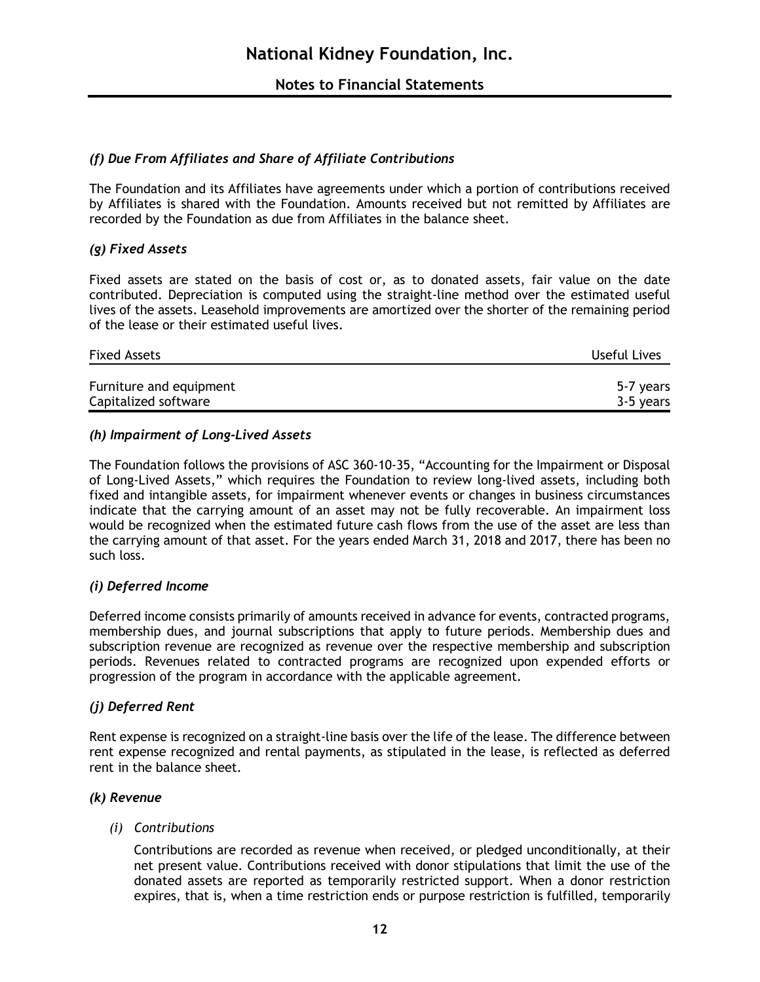#### *(f) Due From Affiliates and Share of Affiliate Contributions*

The Foundation and its Affiliates have agreements under which a portion of contributions received by Affiliates is shared with the Foundation. Amounts received but not remitted by Affiliates are recorded by the Foundation as due from Affiliates in the balance sheet.

#### *(g) Fixed Assets*

Fixed assets are stated on the basis of cost or, as to donated assets, fair value on the date contributed. Depreciation is computed using the straight-line method over the estimated useful lives of the assets. Leasehold improvements are amortized over the shorter of the remaining period of the lease or their estimated useful lives.

| <b>Fixed Assets</b>     | Useful Lives |
|-------------------------|--------------|
| Furniture and equipment | 5-7 years    |
| Capitalized software    | 3-5 years    |

#### *(h) Impairment of Long-Lived Assets*

The Foundation follows the provisions of ASC 360-10-35, "Accounting for the Impairment or Disposal of Long-Lived Assets," which requires the Foundation to review long-lived assets, including both fixed and intangible assets, for impairment whenever events or changes in business circumstances indicate that the carrying amount of an asset may not be fully recoverable. An impairment loss would be recognized when the estimated future cash flows from the use of the asset are less than the carrying amount of that asset. For the years ended March 31, 2018 and 2017, there has been no such loss.

#### *(i) Deferred Income*

Deferred income consists primarily of amounts received in advance for events, contracted programs, membership dues, and journal subscriptions that apply to future periods. Membership dues and subscription revenue are recognized as revenue over the respective membership and subscription periods. Revenues related to contracted programs are recognized upon expended efforts or progression of the program in accordance with the applicable agreement.

#### *(j) Deferred Rent*

Rent expense is recognized on a straight-line basis over the life of the lease. The difference between rent expense recognized and rental payments, as stipulated in the lease, is reflected as deferred rent in the balance sheet.

#### *(k) Revenue*

#### *(i) Contributions*

Contributions are recorded as revenue when received, or pledged unconditionally, at their net present value. Contributions received with donor stipulations that limit the use of the donated assets are reported as temporarily restricted support. When a donor restriction expires, that is, when a time restriction ends or purpose restriction is fulfilled, temporarily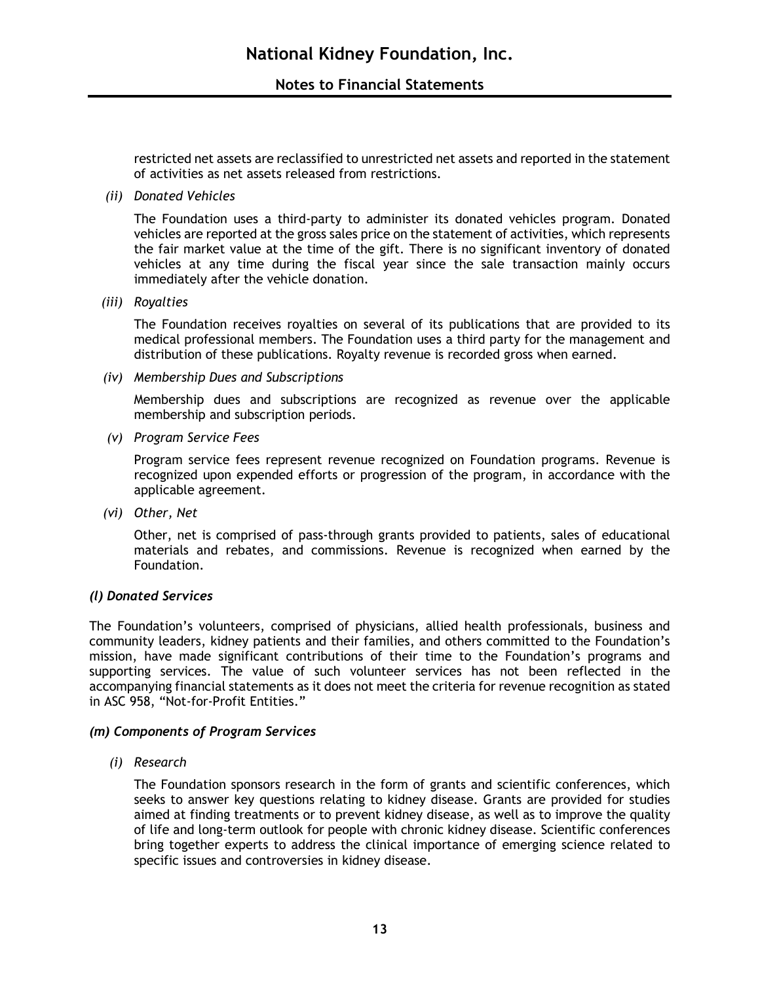restricted net assets are reclassified to unrestricted net assets and reported in the statement of activities as net assets released from restrictions.

*(ii) Donated Vehicles*

The Foundation uses a third-party to administer its donated vehicles program. Donated vehicles are reported at the gross sales price on the statement of activities, which represents the fair market value at the time of the gift. There is no significant inventory of donated vehicles at any time during the fiscal year since the sale transaction mainly occurs immediately after the vehicle donation.

*(iii) Royalties*

The Foundation receives royalties on several of its publications that are provided to its medical professional members. The Foundation uses a third party for the management and distribution of these publications. Royalty revenue is recorded gross when earned.

*(iv) Membership Dues and Subscriptions*

Membership dues and subscriptions are recognized as revenue over the applicable membership and subscription periods.

*(v) Program Service Fees*

Program service fees represent revenue recognized on Foundation programs. Revenue is recognized upon expended efforts or progression of the program, in accordance with the applicable agreement.

*(vi) Other, Net*

Other, net is comprised of pass-through grants provided to patients, sales of educational materials and rebates, and commissions. Revenue is recognized when earned by the Foundation.

#### *(l) Donated Services*

The Foundation's volunteers, comprised of physicians, allied health professionals, business and community leaders, kidney patients and their families, and others committed to the Foundation's mission, have made significant contributions of their time to the Foundation's programs and supporting services. The value of such volunteer services has not been reflected in the accompanying financial statements as it does not meet the criteria for revenue recognition as stated in ASC 958, "Not-for-Profit Entities."

#### *(m) Components of Program Services*

*(i) Research*

The Foundation sponsors research in the form of grants and scientific conferences, which seeks to answer key questions relating to kidney disease. Grants are provided for studies aimed at finding treatments or to prevent kidney disease, as well as to improve the quality of life and long-term outlook for people with chronic kidney disease. Scientific conferences bring together experts to address the clinical importance of emerging science related to specific issues and controversies in kidney disease.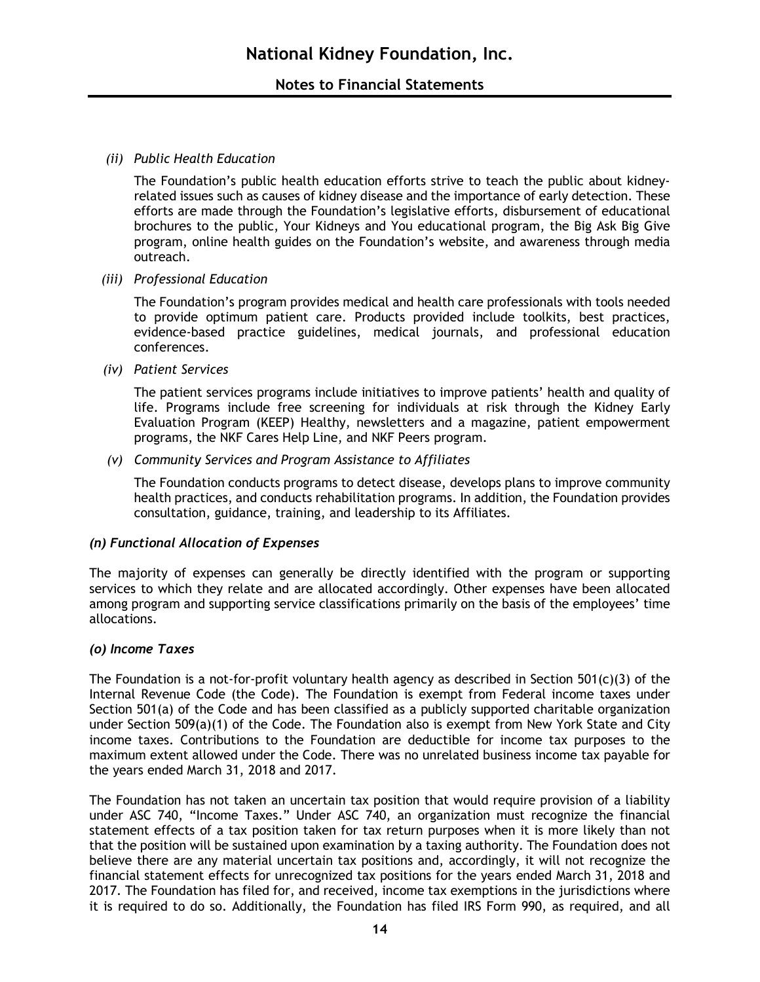#### *(ii) Public Health Education*

The Foundation's public health education efforts strive to teach the public about kidneyrelated issues such as causes of kidney disease and the importance of early detection. These efforts are made through the Foundation's legislative efforts, disbursement of educational brochures to the public, Your Kidneys and You educational program, the Big Ask Big Give program, online health guides on the Foundation's website, and awareness through media outreach.

*(iii) Professional Education*

The Foundation's program provides medical and health care professionals with tools needed to provide optimum patient care. Products provided include toolkits, best practices, evidence-based practice guidelines, medical journals, and professional education conferences.

*(iv) Patient Services*

The patient services programs include initiatives to improve patients' health and quality of life. Programs include free screening for individuals at risk through the Kidney Early Evaluation Program (KEEP) Healthy, newsletters and a magazine, patient empowerment programs, the NKF Cares Help Line, and NKF Peers program.

*(v) Community Services and Program Assistance to Affiliates*

The Foundation conducts programs to detect disease, develops plans to improve community health practices, and conducts rehabilitation programs. In addition, the Foundation provides consultation, guidance, training, and leadership to its Affiliates.

#### *(n) Functional Allocation of Expenses*

The majority of expenses can generally be directly identified with the program or supporting services to which they relate and are allocated accordingly. Other expenses have been allocated among program and supporting service classifications primarily on the basis of the employees' time allocations.

#### *(o) Income Taxes*

The Foundation is a not-for-profit voluntary health agency as described in Section 501(c)(3) of the Internal Revenue Code (the Code). The Foundation is exempt from Federal income taxes under Section 501(a) of the Code and has been classified as a publicly supported charitable organization under Section 509(a)(1) of the Code. The Foundation also is exempt from New York State and City income taxes. Contributions to the Foundation are deductible for income tax purposes to the maximum extent allowed under the Code. There was no unrelated business income tax payable for the years ended March 31, 2018 and 2017.

The Foundation has not taken an uncertain tax position that would require provision of a liability under ASC 740, "Income Taxes." Under ASC 740, an organization must recognize the financial statement effects of a tax position taken for tax return purposes when it is more likely than not that the position will be sustained upon examination by a taxing authority. The Foundation does not believe there are any material uncertain tax positions and, accordingly, it will not recognize the financial statement effects for unrecognized tax positions for the years ended March 31, 2018 and 2017. The Foundation has filed for, and received, income tax exemptions in the jurisdictions where it is required to do so. Additionally, the Foundation has filed IRS Form 990, as required, and all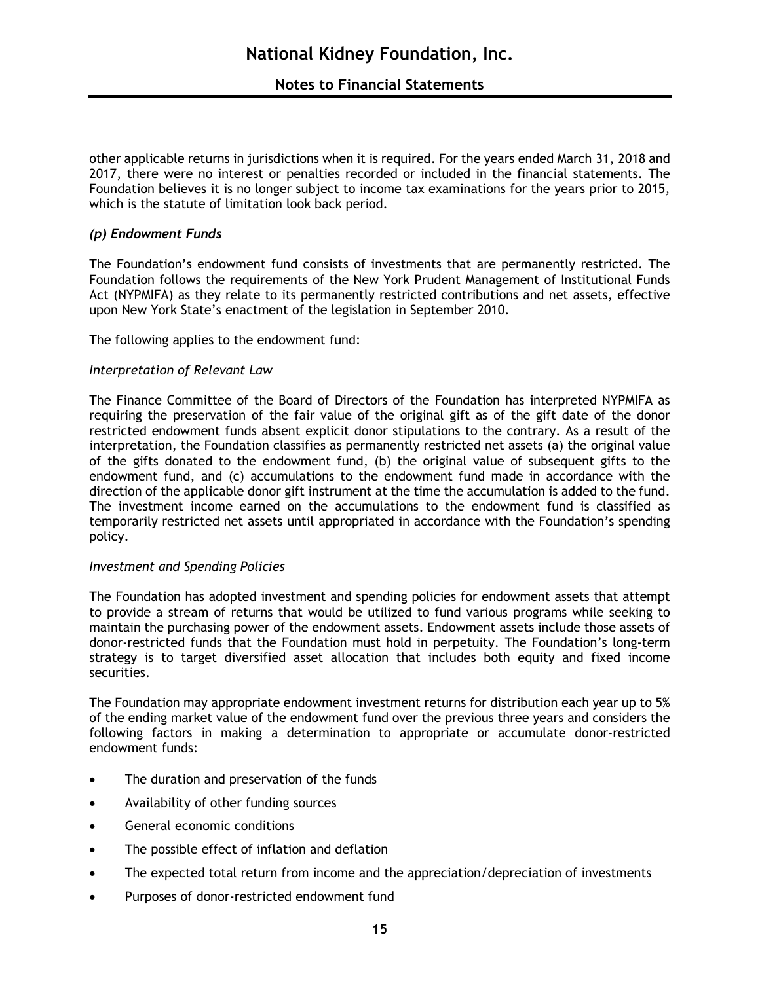other applicable returns in jurisdictions when it is required. For the years ended March 31, 2018 and 2017, there were no interest or penalties recorded or included in the financial statements. The Foundation believes it is no longer subject to income tax examinations for the years prior to 2015, which is the statute of limitation look back period.

#### *(p) Endowment Funds*

The Foundation's endowment fund consists of investments that are permanently restricted. The Foundation follows the requirements of the New York Prudent Management of Institutional Funds Act (NYPMIFA) as they relate to its permanently restricted contributions and net assets, effective upon New York State's enactment of the legislation in September 2010.

The following applies to the endowment fund:

#### *Interpretation of Relevant Law*

The Finance Committee of the Board of Directors of the Foundation has interpreted NYPMIFA as requiring the preservation of the fair value of the original gift as of the gift date of the donor restricted endowment funds absent explicit donor stipulations to the contrary. As a result of the interpretation, the Foundation classifies as permanently restricted net assets (a) the original value of the gifts donated to the endowment fund, (b) the original value of subsequent gifts to the endowment fund, and (c) accumulations to the endowment fund made in accordance with the direction of the applicable donor gift instrument at the time the accumulation is added to the fund. The investment income earned on the accumulations to the endowment fund is classified as temporarily restricted net assets until appropriated in accordance with the Foundation's spending policy.

#### *Investment and Spending Policies*

The Foundation has adopted investment and spending policies for endowment assets that attempt to provide a stream of returns that would be utilized to fund various programs while seeking to maintain the purchasing power of the endowment assets. Endowment assets include those assets of donor-restricted funds that the Foundation must hold in perpetuity. The Foundation's long-term strategy is to target diversified asset allocation that includes both equity and fixed income securities.

The Foundation may appropriate endowment investment returns for distribution each year up to 5% of the ending market value of the endowment fund over the previous three years and considers the following factors in making a determination to appropriate or accumulate donor-restricted endowment funds:

- The duration and preservation of the funds
- Availability of other funding sources
- General economic conditions
- The possible effect of inflation and deflation
- The expected total return from income and the appreciation/depreciation of investments
- Purposes of donor-restricted endowment fund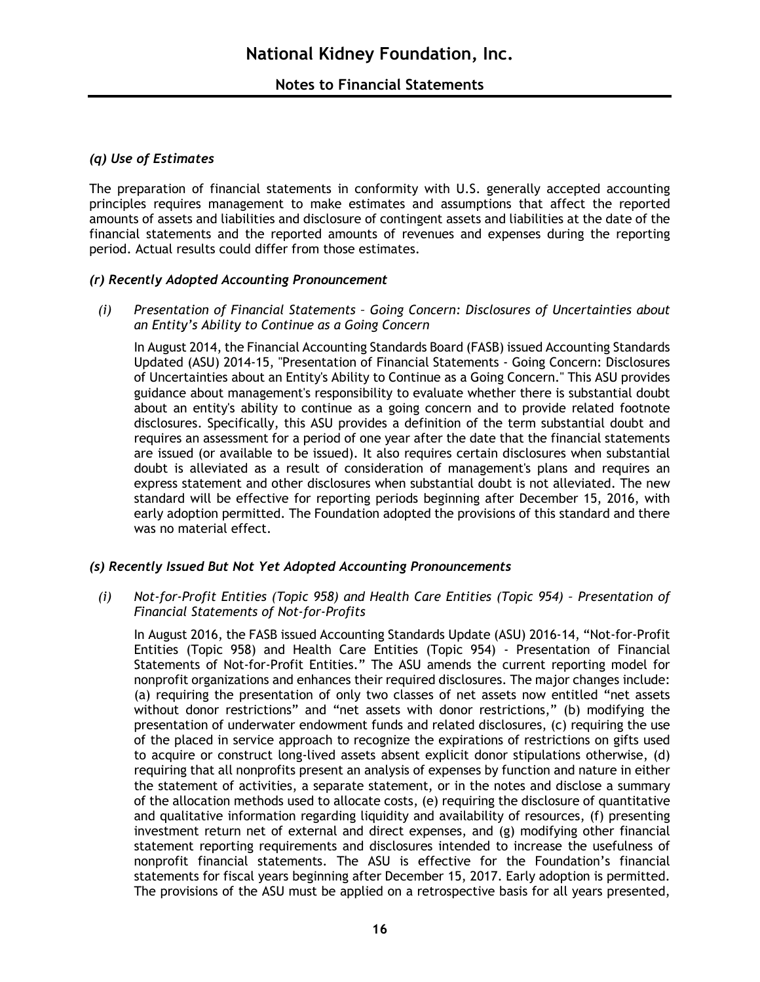#### *(q) Use of Estimates*

The preparation of financial statements in conformity with U.S. generally accepted accounting principles requires management to make estimates and assumptions that affect the reported amounts of assets and liabilities and disclosure of contingent assets and liabilities at the date of the financial statements and the reported amounts of revenues and expenses during the reporting period. Actual results could differ from those estimates.

#### *(r) Recently Adopted Accounting Pronouncement*

*(i) Presentation of Financial Statements – Going Concern: Disclosures of Uncertainties about an Entity's Ability to Continue as a Going Concern*

In August 2014, the Financial Accounting Standards Board (FASB) issued Accounting Standards Updated (ASU) 2014-15, "Presentation of Financial Statements - Going Concern: Disclosures of Uncertainties about an Entity's Ability to Continue as a Going Concern." This ASU provides guidance about management's responsibility to evaluate whether there is substantial doubt about an entity's ability to continue as a going concern and to provide related footnote disclosures. Specifically, this ASU provides a definition of the term substantial doubt and requires an assessment for a period of one year after the date that the financial statements are issued (or available to be issued). It also requires certain disclosures when substantial doubt is alleviated as a result of consideration of management's plans and requires an express statement and other disclosures when substantial doubt is not alleviated. The new standard will be effective for reporting periods beginning after December 15, 2016, with early adoption permitted. The Foundation adopted the provisions of this standard and there was no material effect.

#### *(s) Recently Issued But Not Yet Adopted Accounting Pronouncements*

*(i) Not-for-Profit Entities (Topic 958) and Health Care Entities (Topic 954) – Presentation of Financial Statements of Not-for-Profits*

In August 2016, the FASB issued Accounting Standards Update (ASU) 2016-14, "Not-for-Profit Entities (Topic 958) and Health Care Entities (Topic 954) - Presentation of Financial Statements of Not-for-Profit Entities." The ASU amends the current reporting model for nonprofit organizations and enhances their required disclosures. The major changes include: (a) requiring the presentation of only two classes of net assets now entitled "net assets without donor restrictions" and "net assets with donor restrictions," (b) modifying the presentation of underwater endowment funds and related disclosures, (c) requiring the use of the placed in service approach to recognize the expirations of restrictions on gifts used to acquire or construct long-lived assets absent explicit donor stipulations otherwise, (d) requiring that all nonprofits present an analysis of expenses by function and nature in either the statement of activities, a separate statement, or in the notes and disclose a summary of the allocation methods used to allocate costs, (e) requiring the disclosure of quantitative and qualitative information regarding liquidity and availability of resources, (f) presenting investment return net of external and direct expenses, and (g) modifying other financial statement reporting requirements and disclosures intended to increase the usefulness of nonprofit financial statements. The ASU is effective for the Foundation's financial statements for fiscal years beginning after December 15, 2017. Early adoption is permitted. The provisions of the ASU must be applied on a retrospective basis for all years presented,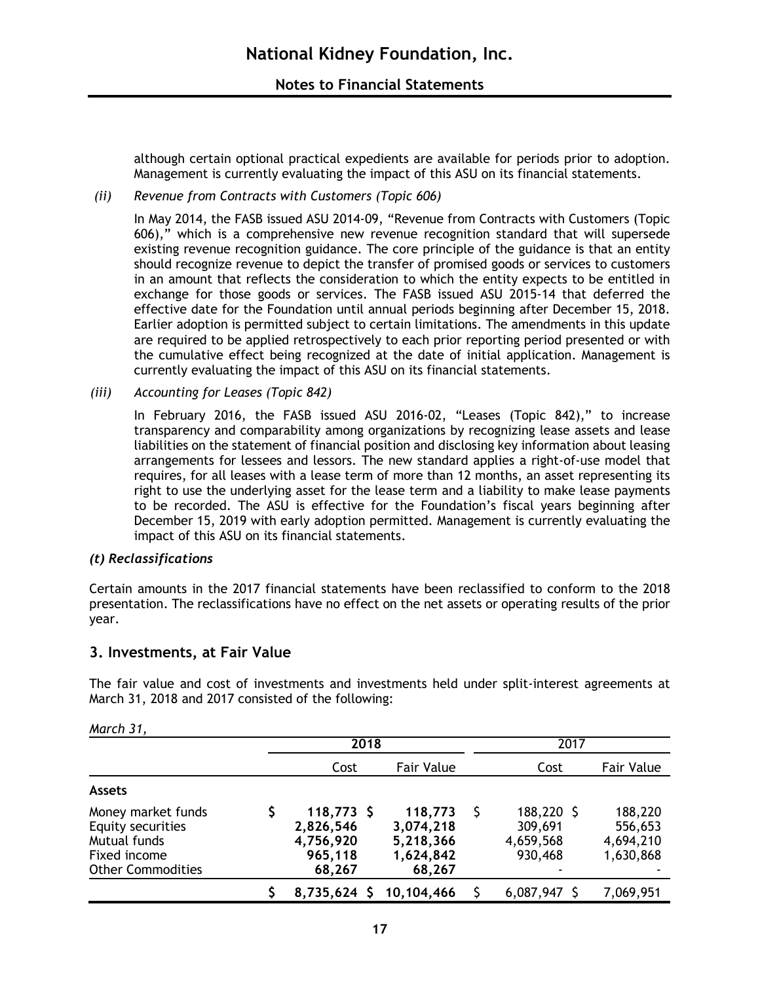although certain optional practical expedients are available for periods prior to adoption. Management is currently evaluating the impact of this ASU on its financial statements.

#### *(ii) Revenue from Contracts with Customers (Topic 606)*

In May 2014, the FASB issued ASU 2014-09, "Revenue from Contracts with Customers (Topic 606)," which is a comprehensive new revenue recognition standard that will supersede existing revenue recognition guidance. The core principle of the guidance is that an entity should recognize revenue to depict the transfer of promised goods or services to customers in an amount that reflects the consideration to which the entity expects to be entitled in exchange for those goods or services. The FASB issued ASU 2015-14 that deferred the effective date for the Foundation until annual periods beginning after December 15, 2018. Earlier adoption is permitted subject to certain limitations. The amendments in this update are required to be applied retrospectively to each prior reporting period presented or with the cumulative effect being recognized at the date of initial application. Management is currently evaluating the impact of this ASU on its financial statements.

*(iii) Accounting for Leases (Topic 842)*

In February 2016, the FASB issued ASU 2016-02, "Leases (Topic 842)," to increase transparency and comparability among organizations by recognizing lease assets and lease liabilities on the statement of financial position and disclosing key information about leasing arrangements for lessees and lessors. The new standard applies a right-of-use model that requires, for all leases with a lease term of more than 12 months, an asset representing its right to use the underlying asset for the lease term and a liability to make lease payments to be recorded. The ASU is effective for the Foundation's fiscal years beginning after December 15, 2019 with early adoption permitted. Management is currently evaluating the impact of this ASU on its financial statements.

#### *(t) Reclassifications*

Certain amounts in the 2017 financial statements have been reclassified to conform to the 2018 presentation. The reclassifications have no effect on the net assets or operating results of the prior year.

#### **3. Investments, at Fair Value**

The fair value and cost of investments and investments held under split-interest agreements at March 31, 2018 and 2017 consisted of the following:

|                                                                                                     | 2018                                                        |                                                          |  | 2017                                          |                                              |
|-----------------------------------------------------------------------------------------------------|-------------------------------------------------------------|----------------------------------------------------------|--|-----------------------------------------------|----------------------------------------------|
|                                                                                                     | Cost                                                        | <b>Fair Value</b>                                        |  | Cost                                          | <b>Fair Value</b>                            |
| <b>Assets</b>                                                                                       |                                                             |                                                          |  |                                               |                                              |
| Money market funds<br>Equity securities<br>Mutual funds<br>Fixed income<br><b>Other Commodities</b> | $118,773$ \$<br>2,826,546<br>4,756,920<br>965,118<br>68,267 | 118,773<br>3,074,218<br>5,218,366<br>1,624,842<br>68,267 |  | 188,220 \$<br>309,691<br>4,659,568<br>930,468 | 188,220<br>556,653<br>4,694,210<br>1,630,868 |
|                                                                                                     | 8,735,624 \$                                                | 10,104,466                                               |  | 6,087,947                                     | 7,069,951                                    |

*March 31,*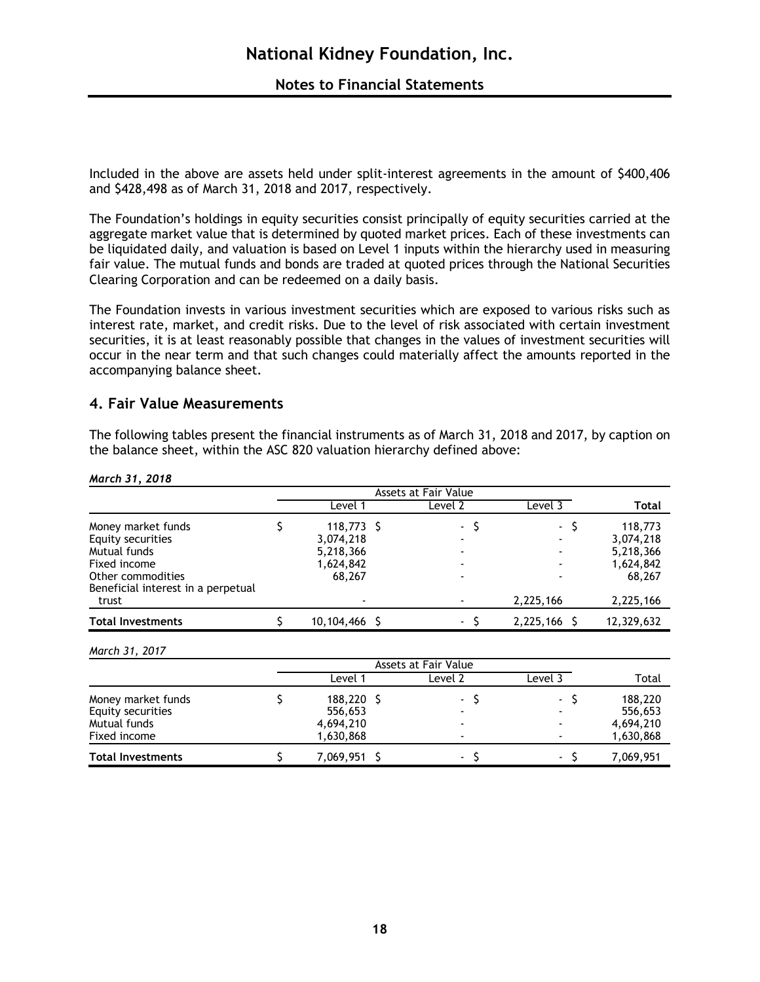Included in the above are assets held under split-interest agreements in the amount of \$400,406 and \$428,498 as of March 31, 2018 and 2017, respectively.

The Foundation's holdings in equity securities consist principally of equity securities carried at the aggregate market value that is determined by quoted market prices. Each of these investments can be liquidated daily, and valuation is based on Level 1 inputs within the hierarchy used in measuring fair value. The mutual funds and bonds are traded at quoted prices through the National Securities Clearing Corporation and can be redeemed on a daily basis.

The Foundation invests in various investment securities which are exposed to various risks such as interest rate, market, and credit risks. Due to the level of risk associated with certain investment securities, it is at least reasonably possible that changes in the values of investment securities will occur in the near term and that such changes could materially affect the amounts reported in the accompanying balance sheet.

### **4. Fair Value Measurements**

The following tables present the financial instruments as of March 31, 2018 and 2017, by caption on the balance sheet, within the ASC 820 valuation hierarchy defined above:

*March 31, 2018*

|                                                                                              |  | Level 1                                                       | Level 2                  | Level 3                         | Total                                                    |
|----------------------------------------------------------------------------------------------|--|---------------------------------------------------------------|--------------------------|---------------------------------|----------------------------------------------------------|
| Money market funds<br>Equity securities<br>Mutual funds<br>Fixed income<br>Other commodities |  | $118,773$ \$<br>3,074,218<br>5,218,366<br>1,624,842<br>68,267 | $-S$                     | - S<br>$\blacksquare$<br>-<br>- | 118,773<br>3,074,218<br>5,218,366<br>1,624,842<br>68,267 |
| Beneficial interest in a perpetual<br>trust                                                  |  | $\blacksquare$                                                |                          | 2,225,166                       | 2,225,166                                                |
| <b>Total Investments</b>                                                                     |  | 10,104,466                                                    | $\overline{\phantom{0}}$ | 2,225,166 \$                    | 12,329,632                                               |

*March 31, 2017*

|                                                                         | Assets at Fair Value                         |  |                          |                                                                        |                                              |  |  |  |
|-------------------------------------------------------------------------|----------------------------------------------|--|--------------------------|------------------------------------------------------------------------|----------------------------------------------|--|--|--|
|                                                                         | Level                                        |  | Level 2                  | Level 3                                                                | Total                                        |  |  |  |
| Money market funds<br>Equity securities<br>Mutual funds<br>Fixed income | 188,220<br>556,653<br>4,694,210<br>1,630,868 |  | $\blacksquare$           | $\sim$<br>$\blacksquare$<br>$\overline{\phantom{a}}$<br>$\blacksquare$ | 188,220<br>556,653<br>4,694,210<br>1,630,868 |  |  |  |
| <b>Total Investments</b>                                                | 7,069,951 \$                                 |  | $\overline{\phantom{0}}$ | $\blacksquare$                                                         | 7,069,951                                    |  |  |  |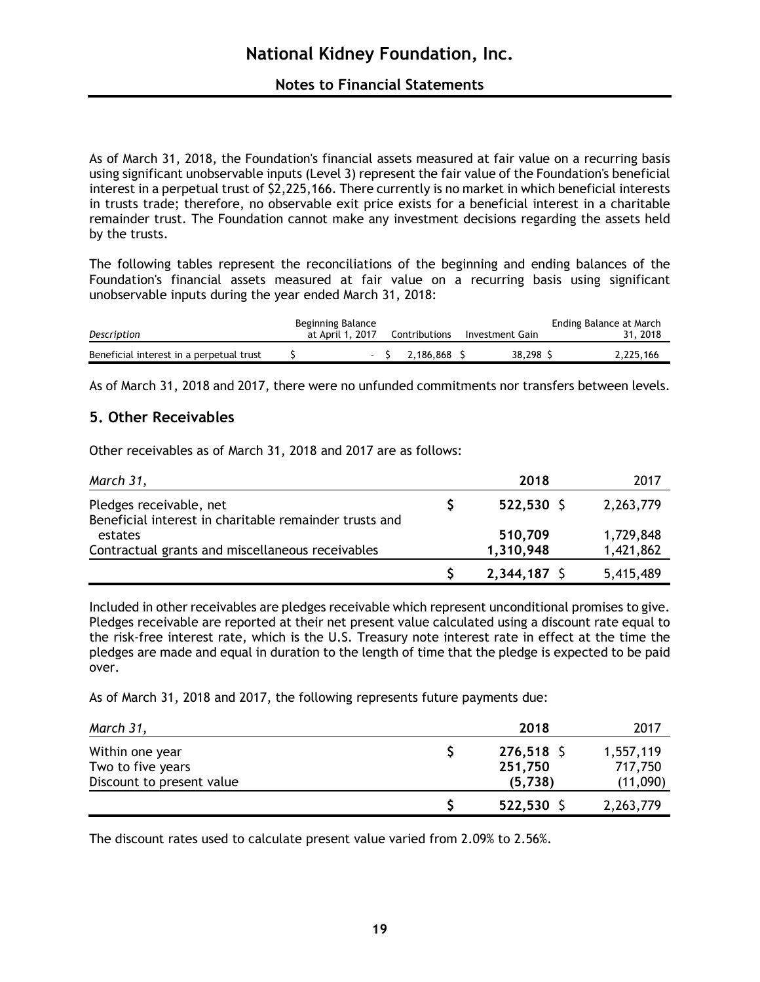As of March 31, 2018, the Foundation's financial assets measured at fair value on a recurring basis using significant unobservable inputs (Level 3) represent the fair value of the Foundation's beneficial interest in a perpetual trust of \$2,225,166. There currently is no market in which beneficial interests in trusts trade; therefore, no observable exit price exists for a beneficial interest in a charitable remainder trust. The Foundation cannot make any investment decisions regarding the assets held by the trusts.

The following tables represent the reconciliations of the beginning and ending balances of the Foundation's financial assets measured at fair value on a recurring basis using significant unobservable inputs during the year ended March 31, 2018:

| Description                              | Beginning Balance<br>at April 1, 2017 |        | Contributions | Investment Gain | Ending Balance at March<br>31, 2018 |
|------------------------------------------|---------------------------------------|--------|---------------|-----------------|-------------------------------------|
| Beneficial interest in a perpetual trust |                                       | $\sim$ | 2.186.868     | 38,298 S        | 2.225.166                           |

As of March 31, 2018 and 2017, there were no unfunded commitments nor transfers between levels.

## **5. Other Receivables**

Other receivables as of March 31, 2018 and 2017 are as follows:

| March 31,                                                                         | 2018                 | 2017                   |
|-----------------------------------------------------------------------------------|----------------------|------------------------|
| Pledges receivable, net<br>Beneficial interest in charitable remainder trusts and | $522,530$ \$         | 2,263,779              |
| estates<br>Contractual grants and miscellaneous receivables                       | 510,709<br>1,310,948 | 1,729,848<br>1,421,862 |
|                                                                                   | 2,344,187 \$         | 5,415,489              |

Included in other receivables are pledges receivable which represent unconditional promises to give. Pledges receivable are reported at their net present value calculated using a discount rate equal to the risk-free interest rate, which is the U.S. Treasury note interest rate in effect at the time the pledges are made and equal in duration to the length of time that the pledge is expected to be paid over.

As of March 31, 2018 and 2017, the following represents future payments due:

| March 31,                            | 2018                    | 2017                 |
|--------------------------------------|-------------------------|----------------------|
| Within one year<br>Two to five years | $276,518$ \$<br>251,750 | 1,557,119<br>717,750 |
| Discount to present value            | (5,738)                 | (11,090)             |
|                                      | 522,530 \$              | 2,263,779            |

The discount rates used to calculate present value varied from 2.09% to 2.56%.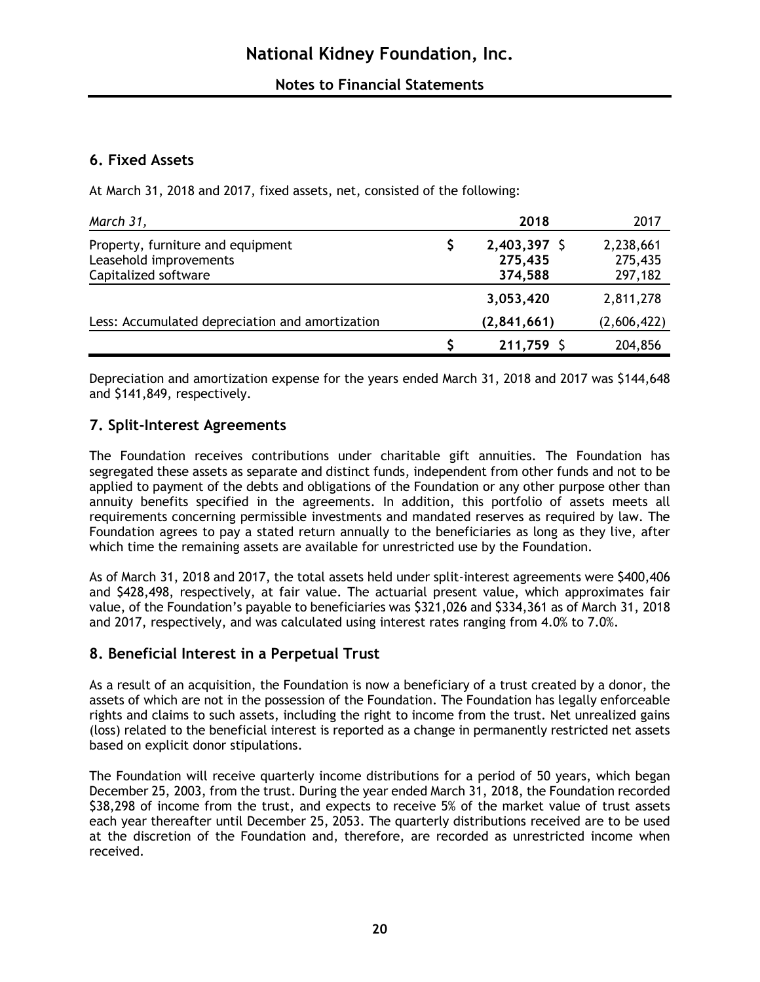## **6. Fixed Assets**

At March 31, 2018 and 2017, fixed assets, net, consisted of the following:

| March 31,                                       | 2018         | 2017        |
|-------------------------------------------------|--------------|-------------|
| Property, furniture and equipment               | 2,403,397 \$ | 2,238,661   |
| Leasehold improvements                          | 275,435      | 275,435     |
| Capitalized software                            | 374,588      | 297,182     |
|                                                 | 3,053,420    | 2,811,278   |
| Less: Accumulated depreciation and amortization | (2,841,661)  | (2,606,422) |
|                                                 | 211,759 \$   | 204,856     |

Depreciation and amortization expense for the years ended March 31, 2018 and 2017 was \$144,648 and \$141,849, respectively.

## **7. Split-Interest Agreements**

The Foundation receives contributions under charitable gift annuities. The Foundation has segregated these assets as separate and distinct funds, independent from other funds and not to be applied to payment of the debts and obligations of the Foundation or any other purpose other than annuity benefits specified in the agreements. In addition, this portfolio of assets meets all requirements concerning permissible investments and mandated reserves as required by law. The Foundation agrees to pay a stated return annually to the beneficiaries as long as they live, after which time the remaining assets are available for unrestricted use by the Foundation.

As of March 31, 2018 and 2017, the total assets held under split-interest agreements were \$400,406 and \$428,498, respectively, at fair value. The actuarial present value, which approximates fair value, of the Foundation's payable to beneficiaries was \$321,026 and \$334,361 as of March 31, 2018 and 2017, respectively, and was calculated using interest rates ranging from 4.0% to 7.0%.

## **8. Beneficial Interest in a Perpetual Trust**

As a result of an acquisition, the Foundation is now a beneficiary of a trust created by a donor, the assets of which are not in the possession of the Foundation. The Foundation has legally enforceable rights and claims to such assets, including the right to income from the trust. Net unrealized gains (loss) related to the beneficial interest is reported as a change in permanently restricted net assets based on explicit donor stipulations.

The Foundation will receive quarterly income distributions for a period of 50 years, which began December 25, 2003, from the trust. During the year ended March 31, 2018, the Foundation recorded \$38,298 of income from the trust, and expects to receive 5% of the market value of trust assets each year thereafter until December 25, 2053. The quarterly distributions received are to be used at the discretion of the Foundation and, therefore, are recorded as unrestricted income when received.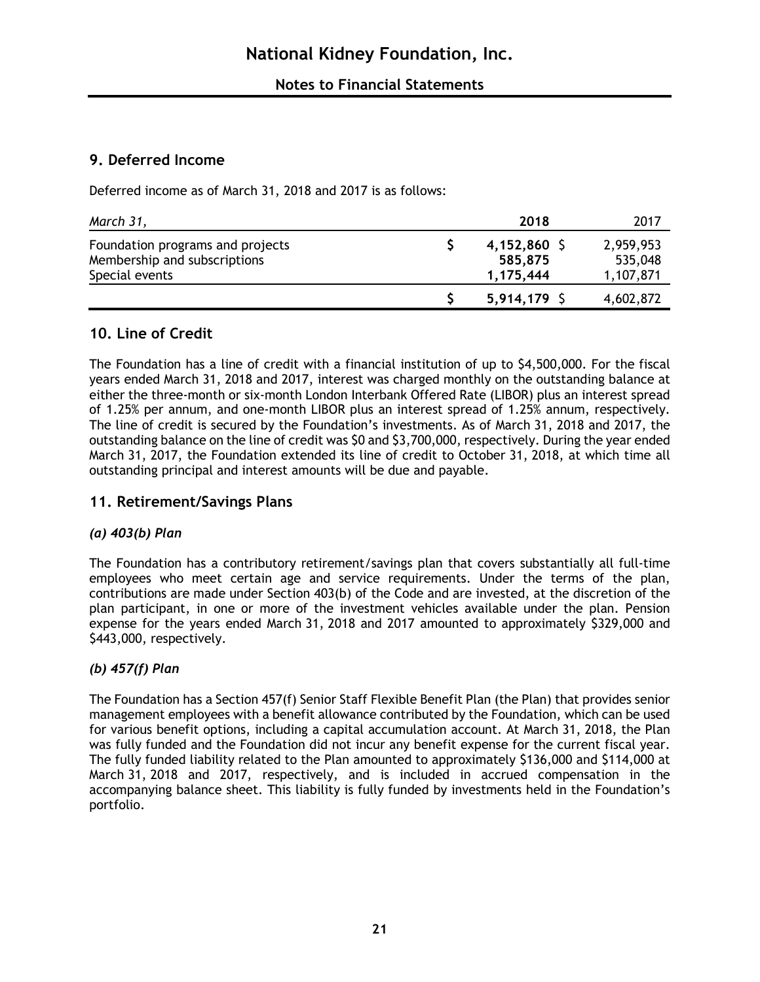## **9. Deferred Income**

Deferred income as of March 31, 2018 and 2017 is as follows:

| March 31,                                                                          | 2018                                   | 2017                              |
|------------------------------------------------------------------------------------|----------------------------------------|-----------------------------------|
| Foundation programs and projects<br>Membership and subscriptions<br>Special events | $4,152,860$ \$<br>585,875<br>1,175,444 | 2,959,953<br>535,048<br>1,107,871 |
|                                                                                    | $5,914,179$ \$                         | 4,602,872                         |

## **10. Line of Credit**

The Foundation has a line of credit with a financial institution of up to \$4,500,000. For the fiscal years ended March 31, 2018 and 2017, interest was charged monthly on the outstanding balance at either the three-month or six-month London Interbank Offered Rate (LIBOR) plus an interest spread of 1.25% per annum, and one-month LIBOR plus an interest spread of 1.25% annum, respectively. The line of credit is secured by the Foundation's investments. As of March 31, 2018 and 2017, the outstanding balance on the line of credit was \$0 and \$3,700,000, respectively. During the year ended March 31, 2017, the Foundation extended its line of credit to October 31, 2018, at which time all outstanding principal and interest amounts will be due and payable.

## **11. Retirement/Savings Plans**

#### *(a) 403(b) Plan*

The Foundation has a contributory retirement/savings plan that covers substantially all full-time employees who meet certain age and service requirements. Under the terms of the plan, contributions are made under Section 403(b) of the Code and are invested, at the discretion of the plan participant, in one or more of the investment vehicles available under the plan. Pension expense for the years ended March 31, 2018 and 2017 amounted to approximately \$329,000 and \$443,000, respectively.

## *(b) 457(f) Plan*

The Foundation has a Section 457(f) Senior Staff Flexible Benefit Plan (the Plan) that provides senior management employees with a benefit allowance contributed by the Foundation, which can be used for various benefit options, including a capital accumulation account. At March 31, 2018, the Plan was fully funded and the Foundation did not incur any benefit expense for the current fiscal year. The fully funded liability related to the Plan amounted to approximately \$136,000 and \$114,000 at March 31, 2018 and 2017, respectively, and is included in accrued compensation in the accompanying balance sheet. This liability is fully funded by investments held in the Foundation's portfolio.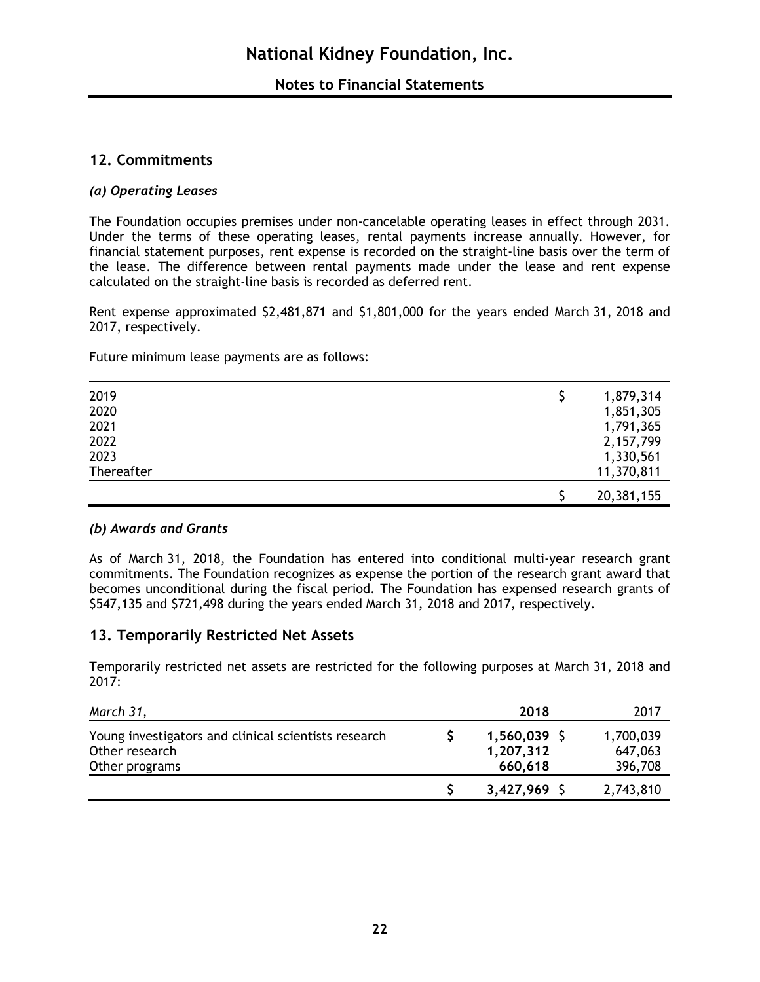## **12. Commitments**

#### *(a) Operating Leases*

The Foundation occupies premises under non-cancelable operating leases in effect through 2031. Under the terms of these operating leases, rental payments increase annually. However, for financial statement purposes, rent expense is recorded on the straight-line basis over the term of the lease. The difference between rental payments made under the lease and rent expense calculated on the straight-line basis is recorded as deferred rent.

Rent expense approximated \$2,481,871 and \$1,801,000 for the years ended March 31, 2018 and 2017, respectively.

Future minimum lease payments are as follows:

| 2019       | 1,879,314   |
|------------|-------------|
| 2020       | 1,851,305   |
| 2021       | 1,791,365   |
| 2022       | 2, 157, 799 |
| 2023       | 1,330,561   |
| Thereafter | 11,370,811  |
|            | 20,381,155  |

#### *(b) Awards and Grants*

As of March 31, 2018, the Foundation has entered into conditional multi-year research grant commitments. The Foundation recognizes as expense the portion of the research grant award that becomes unconditional during the fiscal period. The Foundation has expensed research grants of \$547,135 and \$721,498 during the years ended March 31, 2018 and 2017, respectively.

#### **13. Temporarily Restricted Net Assets**

Temporarily restricted net assets are restricted for the following purposes at March 31, 2018 and 2017:

| March 31,                                                                                | 2018                                   | 2017                            |
|------------------------------------------------------------------------------------------|----------------------------------------|---------------------------------|
| Young investigators and clinical scientists research<br>Other research<br>Other programs | $1,560,039$ \$<br>1,207,312<br>660,618 | 1,700,039<br>647,063<br>396,708 |
|                                                                                          | $3,427,969$ \$                         | 2,743,810                       |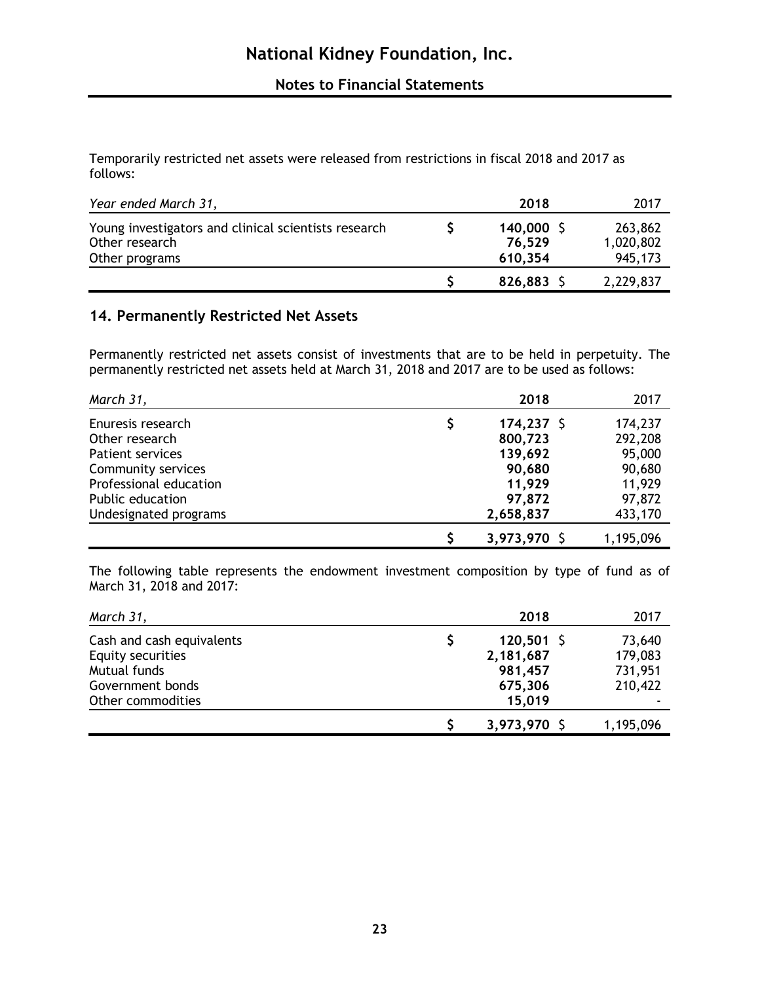Temporarily restricted net assets were released from restrictions in fiscal 2018 and 2017 as follows:

| Year ended March 31,                                                                     | 2018                              | 2017                            |
|------------------------------------------------------------------------------------------|-----------------------------------|---------------------------------|
| Young investigators and clinical scientists research<br>Other research<br>Other programs | $140,000$ \$<br>76,529<br>610,354 | 263,862<br>1,020,802<br>945,173 |
|                                                                                          | 826,883 \$                        | 2,229,837                       |

## **14. Permanently Restricted Net Assets**

Permanently restricted net assets consist of investments that are to be held in perpetuity. The permanently restricted net assets held at March 31, 2018 and 2017 are to be used as follows:

| March 31,               | 2018         | 2017      |
|-------------------------|--------------|-----------|
| Enuresis research       | $174,237$ \$ | 174,237   |
| Other research          | 800,723      | 292,208   |
| <b>Patient services</b> | 139,692      | 95,000    |
| Community services      | 90,680       | 90,680    |
| Professional education  | 11,929       | 11,929    |
| Public education        | 97,872       | 97,872    |
| Undesignated programs   | 2,658,837    | 433,170   |
|                         | 3,973,970 \$ | 1,195,096 |

The following table represents the endowment investment composition by type of fund as of March 31, 2018 and 2017:

| March 31,                 | 2018         | 2017      |
|---------------------------|--------------|-----------|
| Cash and cash equivalents | $120,501$ \$ | 73,640    |
| Equity securities         | 2,181,687    | 179,083   |
| Mutual funds              | 981,457      | 731,951   |
| Government bonds          | 675,306      | 210,422   |
| Other commodities         | 15,019       |           |
|                           | 3,973,970 \$ | 1,195,096 |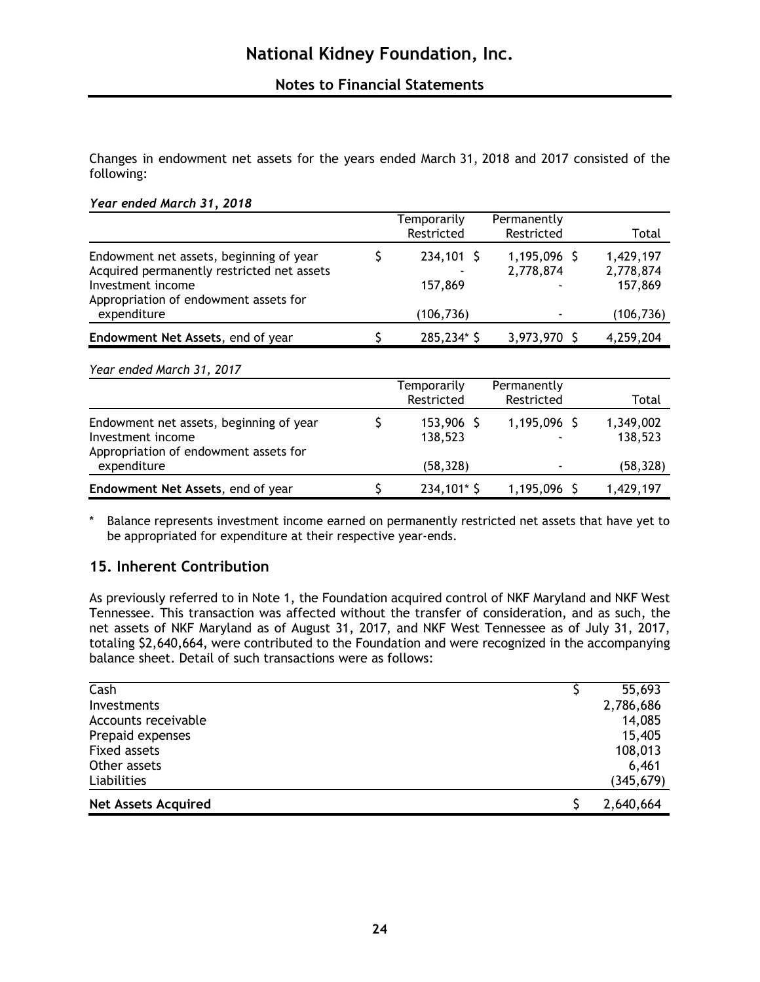Changes in endowment net assets for the years ended March 31, 2018 and 2017 consisted of the following:

|                                                                                                                                                     |   | Temporarily<br>Restricted | Permanently<br>Restricted   | Total                             |
|-----------------------------------------------------------------------------------------------------------------------------------------------------|---|---------------------------|-----------------------------|-----------------------------------|
| Endowment net assets, beginning of year<br>Acquired permanently restricted net assets<br>Investment income<br>Appropriation of endowment assets for | S | $234,101$ \$<br>157,869   | $1,195,096$ \$<br>2,778,874 | 1,429,197<br>2,778,874<br>157,869 |
| expenditure                                                                                                                                         |   | (106, 736)                |                             | (106, 736)                        |
| Endowment Net Assets, end of year                                                                                                                   |   | 285,234* \$               | 3,973,970 \$                | 4,259,204                         |
| Year ended March 31, 2017                                                                                                                           |   |                           |                             |                                   |
|                                                                                                                                                     |   | Temporarily<br>Restricted | Permanently<br>Restricted   | Total                             |
| Endowment net assets, beginning of year<br>Investment income<br>Appropriation of endowment assets for                                               | S | 153,906 \$<br>138,523     | 1,195,096 \$                | 1,349,002<br>138,523              |
| expenditure                                                                                                                                         |   | (58, 328)                 |                             | (58, 328)                         |
| Endowment Net Assets, end of year                                                                                                                   |   | 234,101* \$               | 1,195,096 \$                | 1,429,197                         |

\* Balance represents investment income earned on permanently restricted net assets that have yet to be appropriated for expenditure at their respective year-ends.

## **15. Inherent Contribution**

As previously referred to in Note 1, the Foundation acquired control of NKF Maryland and NKF West Tennessee. This transaction was affected without the transfer of consideration, and as such, the net assets of NKF Maryland as of August 31, 2017, and NKF West Tennessee as of July 31, 2017, totaling \$2,640,664, were contributed to the Foundation and were recognized in the accompanying balance sheet. Detail of such transactions were as follows:

| Cash                       | 55,693     |
|----------------------------|------------|
| Investments                | 2,786,686  |
| Accounts receivable        | 14,085     |
| Prepaid expenses           | 15,405     |
| <b>Fixed assets</b>        | 108,013    |
| Other assets               | 6,461      |
| Liabilities                | (345, 679) |
| <b>Net Assets Acquired</b> | 2,640,664  |